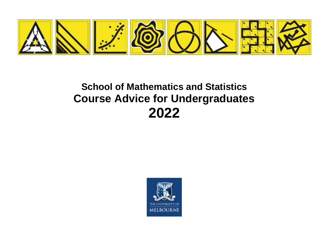

# **School of Mathematics and Statistics Course Advice for Undergraduates 2022**

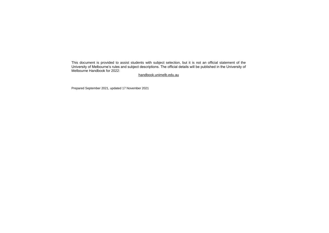This document is provided to assist students with subject selection, but it is not an official statement of the University of Melbourne's rules and subject descriptions. The official details will be published in the University of Melbourne Handbook for 2022:

handbook.unimelb.edu.au

Prepared September 2021, updated 17 November 2021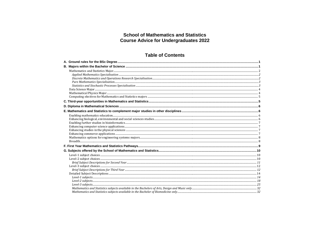# **School of Mathematics and Statistics Course Advice for Undergraduates 2022**

# **Table of Contents**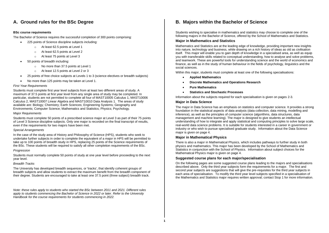# <span id="page-4-0"></span>**A. Ground rules for the BSc Degree**

# **BSc course requirements**

The Bachelor of Science requires the successful completion of 300 points comprising:

- 225 points of Science discipline subjects including:
	- o At least 62.5 points at Level 1
	- o At least 62.5 points at Level 2
	- o At least 75 points at Level 3
- 50 points of breadth including:
	- o No more than 37.5 points at Level 1
	- o At least 12.5 points at Level 2 or 3
- 25 points of free choice subjects at Levels 1 to 3 (science electives or breadth subjects)
- No more than 125 points may be taken at Level 1.

#### *First Year Requirements*

Students must complete first year level subjects from at least two different areas of study. A maximum of 37.5 points at first year level from any single area of study may be completed. In particular, students are not permitted to complete all four of MAST10005 Calculus 1, MAST10006 Calculus 2, MAST10007 Linear Algebra and MAST10010 Data Analysis 1. The areas of study available are: Biology; Chemistry; Earth Sciences; Engineering Systems; Geography and Environments; Computer Science; Mathematics and Statistics; Physics; Psychology.

#### *Major Requirements*

Students must complete 50 points of a prescribed science major at Level 3 as part of their 75 points of Level 3 Science discipline subjects. Only one major is recorded on the final transcript of results, even if the requirements for two majors have been met.

#### *Special Arrangements*

In the case of the study area of History and Philosophy of Science (HPS), students who seek to undertake further subjects in order to complete the equivalent of a major in HPS will be permitted to take up to 100 points of breadth study in HPS, replacing 25 points of the Science requirements of the BSc. These students will be required to satisfy all other completion requirements of the BSc.

#### *Progression*

Students must normally complete 50 points of study at one year level before proceeding to the next year level.

# *Breadth Tracks*

The University has developed breadth sequences, or 'tracks', that identify coherent groups of breadth subjects and allow students to extract the maximum benefit from the breadth component of their degree. Students are encouraged to take at least one 37.5 point (three subject) breadth track.

*Note: these rules apply to students who started the BSc between 2011 and 2021. Different rules apply to students commencing the Bachelor of Science in 2022 or later. Refer to the University Handbook for the course requirements for students commencing in 2022.*

# <span id="page-4-1"></span>**B. Majors within the Bachelor of Science**

Students wishing to specialise in mathematics and statistics may choose to complete one of the following majors in the Bachelor of Science, offered by the School of Mathematics and Statistics.

# **Major in Mathematics and Statistics**

Mathematics and Statistics are at the leading edge of knowledge, providing important new insights into nature, technology and business, while drawing on a rich history of ideas as old as civilisation itself. This major will enable you to gain depth of knowledge in a specialised area, as well as equip you with transferable skills related to conceptual understanding, how to analyse and solve problems, and teamwork. These are powerful tools for understanding science and the world of economics and finance, as well as in the study of human behaviour in the fields of psychology, linguistics and the social sciences.

Within this major, students must complete at least one of the following specialisations:

- **Applied Mathematics**
- **Discrete Mathematics and Operations Research**
- **Pure Mathematics**
- **Statistics and Stochastic Processes**

Information about the subjects required for each specialisation is given on pages 2-3.

#### **Major in Data Science**

The major in Data Science has an emphasis on statistics and computer science. It provides a strong foundation in the statistical aspects of data analysis (data collection, data mining, modelling and inference), as well as the principles of computer science (algorithms, data structures, data management and machine learning). The major is designed to give students an intellectual understanding of how to integrate and apply statistical and computing principles to solve large scale, real-world data science problems. It is suitable for students interested in a career in government or industry or who wish to pursue specialised graduate study. Information about the Data Science major is given on page 4.

# **Major in Mathematical Physics**

There is also a major in Mathematical Physics, which includes pathways to further study in both physics and mathematics. This major has been developed by the School of Mathematics and Statistics in conjunction with the School of Physics. Information about subject choices for the Mathematical Physics major is given on page 4.

#### **Suggested course plans for each major/specialisation**

On the following pages are some suggested course plans leading to the majors and specialisations described above. Only the third year subjects form the requirements for a major. The first and second year subjects are suggestions that will give the pre-requisites for the third year subjects in each area of specialisation. To modify the third year level subjects specified in a specialisation of the Mathematics and Statistics major requires written approval; contact Stop 1 for more information.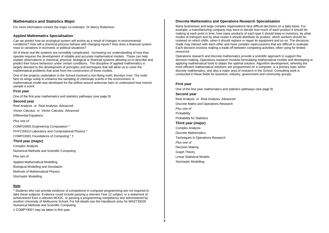# <span id="page-5-0"></span>**Mathematics and Statistics Major**

For more information contact the major co-ordinator: Dr Marcy Robertson

# <span id="page-5-1"></span>**Applied Mathematics Specialisation**

Can we predict how an ecological system will evolve as a result of changes in environmental conditions? How will a chemical process behave with changing inputs? How does a financial system react to variations in economic or political situations?

All of these real life systems are incredibly complicated. Increasing our understanding of how they operate requires the development of reliable and accurate mathematical models. These can help explain observations in chemical, physical, biological or financial systems allowing us to describe and predict their future behaviour under certain conditions. The discipline of applied mathematics is largely devoted to the development of principles and techniques that will allow us to solve the mathematical problems that arise from the construction of these models.

One of the projects undertaken in the School involved a non-flying moth, Bombyx mori. The moth fans its wings solely to enhance the sampling of chemicals scents in the environment. A mathematical model was developed for the airflow around antennae hairs to understand how insects sample a scent.

# **First year**

One of the first year mathematics and statistics pathways (see page 9)

#### **Second year**

Real Analysis *or* Real Analysis: Advanced Vector Calculus *or* Vector Calculus: Advanced

Differential Equations

*Plus one of*

COMP20005 Engineering Computation \*

PHYC20013 Laboratory and Computational Physics \*

COMP10001 Foundations of Computing \* †

# **Third year (major)**

Complex Analysis Numerical Methods and Scientific Computing

*Plus two of* 

Applied Mathematical Modelling Biological Modelling and Simulation Methods of Mathematical Physics Stochastic Modelling

#### **Note:**

\* Students who can provide evidence of competence in computer programming are not required to take these subjects. Evidence could include passing a relevant Year 12 subject, or a statement of achievement from a relevant MOOC, or passing a programming competency test administered by another University of Melbourne School. For full details see the Handbook entry for MAST30028 Numerical Methods and Scientific Computing.

† COMP10001 may be taken in first year.

# <span id="page-5-2"></span>**Discrete Mathematics and Operations Research Specialisation**

Many businesses and large complex organisations face difficult decisions on a daily basis. For example, a manufacturing company may have to decide how much of each product it should be making at each point in time, how many products of each type it should keep in inventory, by what modes of transport and by what routes it should distribute its product, which workers should be rostered on which shifts, when it should replace or repair its equipment and so on. The decisions made may interact with each other and have complex repercussions that are difficult to evaluate. Each decision involves making a trade-off between competing activities, often vying for limited resources.

Operations research and discrete mathematics provide a scientific approach to support this decision-making. Operations research involves formulating mathematical models and developing or applying mathematical tools to obtain the optimal solution. Algorithm development, whereby the most efficient mathematical solutions are programmed on a computer, is a primary topic within discrete mathematics, and also a major area of research in the School. Consulting work is conducted in these fields for business, industry, government and community groups.

#### **First year**

One of the first year mathematics and statistics pathways (see page 9)

#### **Second year**

Real Analysis *or* Real Analysis: Advanced Discrete Maths and Operations Research *Plus one of* Probability Probability for Statistics **Third year (major)** Complex Analysis Discrete Mathematics Techniques in Operations Research *Plus one of*  Decision Making Graph Theory Linear Statistical Models Stochastic Modelling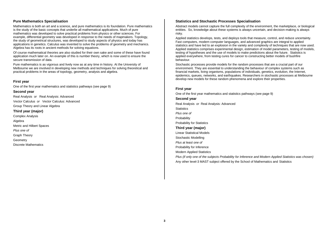# <span id="page-6-0"></span>**Pure Mathematics Specialisation**

Mathematics is both an art and a science, and pure mathematics is its foundation. Pure mathematics is the study of the basic concepts that underlie all mathematical applications. Much of pure mathematics was developed to solve practical problems from physics or other sciences. For example, differential geometry was developed in response to the needs of mapmakers. Topology, the study of geometrical structures, was developed to study aspects of physics and today has applications in genetics. Calculus was invented to solve the problems of geometry and mechanics. Algebra has its roots in ancient methods for solving equations.

Of course mathematical theories are also studied for their own sake and some of these have found application much later on. An example of this is number theory, which is now used to ensure the secure transmission of data.

Pure mathematics is as vigorous and lively now as at any time in history. At the University of Melbourne we are involved in developing new methods and techniques for solving theoretical and practical problems in the areas of topology, geometry, analysis and algebra.

# **First year**

One of the first year mathematics and statistics pathways (see page 9)

#### **Second year**

Real Analysis *or* Real Analysis: Advanced Vector Calculus *or* Vector Calculus: Advanced Group Theory and Linear Algebra **Third year (major)** Complex Analysis Algebra Metric and Hilbert Spaces *Plus one of* 

Graph Theory Geometry

Discrete Mathematics

# <span id="page-6-1"></span>**Statistics and Stochastic Processes Specialisation**

Abstract models cannot capture the full complexity of the environment, the marketplace, or biological entities. So, knowledge about these systems is always uncertain, and decision-making is always risky.

Applied statistics develops, tests, and deploys tools that measure, control, and reduce uncertainty. Fast computers, modern computer languages, and advanced graphics are integral to applied statistics and have led to an explosion in the variety and complexity of techniques that are now used. Applied statistics comprises experimental design, estimation of model parameters, testing of models, testing of hypotheses and the use of models to make predictions about the future. Statistics is applied everywhere, from testing cures for cancer to constructing better models of bushfire behaviour.

Stochastic processes provide models for the random processes that are a crucial part of our environment. They are essential to understanding the behaviour of complex systems such as financial markets, living organisms, populations of individuals, genetics, evolution, the Internet, epidemics, queues, networks, and earthquakes. Researchers in stochastic processes at Melbourne develop new models for these random phenomena and explore their properties.

#### **First year**

One of the first year mathematics and statistics pathways (see page 9)

# **Second year**

Real Analysis *or* Real Analysis: Advanced **Statistics** *Plus one of* Probability Probability for Statistics **Third year (major)** Linear Statistical Models Stochastic Modelling *Plus at least one of*  Probability for Inference Modern Applied Statistics *Plus (if only one of the subjects Probability for Inference and Modern Applied Statistics was chosen)* Any other level-3 MAST subject offered by the School of Mathematics and Statistics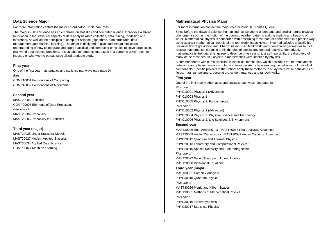# <span id="page-7-0"></span>**Data Science Major**

For more information contact the major co-ordinator: Dr Nathan Ross

The major in Data Science has an emphasis on statistics and computer science. It provides a strong foundation in the statistical aspects of data analysis (data collection, data mining, modelling and inference), as well as the principles of computer science (algorithms, data structures, data management and machine learning). The major is designed to give students an intellectual understanding of how to integrate and apply statistical and computing principles to solve large scale, real-world data science problems. It is suitable for students interested in a career in government or industry or who wish to pursue specialised graduate study.

# **First year**

One of the first year mathematics and statistics pathways (see page 9) *Plus*  COMP10001 Foundations of Computing COMP10002 Foundations of Algorithms

# **Second year**

MAST20005 Statistics COMP20008 Elements of Data Processing *Plus one of* MAST20004 Probability MAST20006 Probability for Statistics

# **Third year (major)**

MAST30025 Linear Statistical Models MAST30027 Modern Applied Statistics MAST30034 Applied Data Science COMP30027 Machine Learning

# <span id="page-7-1"></span>**Mathematical Physics Major**

For more information contact the major co-ordinator: Dr Thomas Quella

Since before the dawn of science, humankind has strived to understand and predict natural physical phenomena such as the motion of the planets, weather patterns and the melting and freezing of water. Mathematical physics is concerned with describing these natural phenomena in a precise way using abstract mathematical models of the real world. Isaac Newton invented calculus to justify his universal law of gravitation and Albert Einstein used Minkowski and Riemannian geometries to give precise mathematical meaning to his theories of special and general relativity. Remarkably, mathematics is the natural language to describe physics and, just as importantly, the discovery of many of the most beautiful objects in mathematics were inspired by physics.

A common theme within this discipline is statistical mechanics, which describes the thermodynamic behaviour and phase transitions of large complex systems by averaging the behaviour of individual components. Specific projects in the School apply these methods to study the diverse behaviours of fluids, magnets, polymers, percolation, random matrices and random walks.

#### **First year**

One of the first year mathematics and statistics pathways (see page 9) *Plus one of* PHYC10001 Physics 1 (Advanced) PHYC10003 Physics 1 PHYC10005 Physics 1: Fundamentals *Plus one of* PHYC10002 Physics 2 (Advanced) PHYC10004 Physics 2: Physical Science and Technology PHYC10006 Physics 2: Life Sciences & Environment

#### **Second year**

MAST20026 Real Analysis *or* MAST20033 Real Analysis: Advanced MAST20009 Vector Calculus *or* MAST20032 Vector Calculus: Advanced PHYC20012 Quantum and Thermal Physics PHYC20013 Laboratory and Computational Physics 2 PHYC20015 Special Relativity and Electromagnetism *Plus one of* MAST20022 Group Theory and Linear Algebra MAST20030 Differential Equations **Third year (major)** MAST30021 Complex Analysis PHYC30018 Quantum Physics *Plus one of* MAST30026 Metric and Hilbert Spaces MAST30031 Methods of Mathematical Physics *Plus one of* PHYC30016 Electrodynamics PHYC30017 Statistical Physics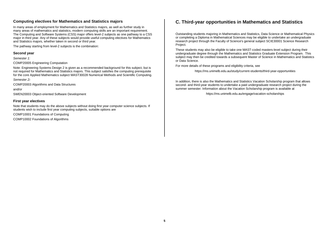# <span id="page-8-0"></span>**Computing electives for Mathematics and Statistics majors**

In many areas of employment for Mathematics and Statistics majors, as well as further study in many areas of mathematics and statistics, modern computing skills are an important requirement. The Computing and Software Systems (CSS) major offers level-2 subjects as one pathway to a CSS major in third year. Any of these subjects would provide useful computing electives for Mathematics and Statistics majors, whether taken in second or third year.

The pathway starting from level-2 subjects is the combination:

# **Second year**

*Semester 1:*

COMP20005 Engineering Computation

Note: Engineering Systems Design 2 is given as a recommended background for this subject, but is not required for Mathematics and Statistics majors. This subject satisfies the computing prerequisite for the core Applied Mathematics subject MAST30028 Numerical Methods and Scientific Computing.

*Semester 2:*

COMP20003 Algorithms and Data Structures

and/or

SWEN20003 Object-oriented Software Development

# **First year electives**

Note that students may do the above subjects without doing first year computer science subjects. If students wish to include first year computing subjects, suitable options are

COMP10001 Foundations of Computing

COMP10002 Foundations of Algorithms

# <span id="page-8-1"></span>**C. Third-year opportunities in Mathematics and Statistics**

Outstanding students majoring in Mathematics and Statistics, Data Science or Mathematical Physics or completing a Diploma in Mathematical Sciences may be eligible to undertake an undergraduate research project through the Faculty of Science's general subject SCIE30001 Science Research Project.

These students may also be eligible to take one MAST-coded masters-level subject during their undergraduate degree through the Mathematics and Statistics Graduate Extension Program. This subject may then be credited towards a subsequent Master of Science in Mathematics and Statistics or Data Science.

For more details of these programs and eligibility criteria, see

https://ms.unimelb.edu.au/study/current-students/third-year-opportunities

In addition, there is also the Mathematics and Statistics Vacation Scholarship program that allows second- and third-year students to undertake a paid undergraduate research project during the summer semester. Information about the Vacation Scholarship program is available at

https://ms.unimelb.edu.au/engage/vacation-scholarships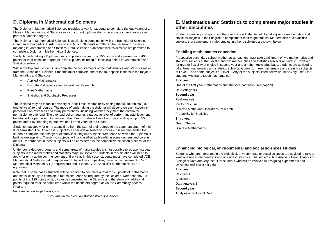# <span id="page-9-0"></span>**D. Diploma in Mathematical Sciences**

The Diploma in Mathematical Sciences provides a way for students to complete the equivalent of a Major in Mathematics and Statistics in a concurrent diploma alongside a major in another area as part of a bachelor degree.

The Diploma in Mathematical Sciences is available in combination with the Bachelor of Science, Commerce, Biomedicine, Arts, Design and Music. Students enrolled in the Bachelor of Science majoring in Mathematics and Statistics, Data Science or Mathematical Physics are not permitted to complete a Diploma in Mathematical Sciences.

Students undertaking a Diploma must complete a minimum of 350 points and a maximum of 400 points for their bachelor degree plus the Diploma including at least 100 points of Mathematics and Statistics subjects.

Within the Diploma, students will complete the requirements of the mathematics and statistics major from the Bachelor of Science. Students must complete one of the four specialisations in the major in Mathematics and Statistics:

- Applied Mathematics
- Discrete Mathematics and Operations Research
- Pure Mathematics
- Statistics and Stochastic Processes

The Diploma may be taken in a variety of 'Fast Track' modes or by adding the full 100 points (i.e. one full year) to their degree. The mode of undertaking the diploma will depend on each student's particular circumstances and study preferences, including whether they meet the criteria for permission to overload. The overload policy requires a particular level of performance/achievement be attained for permission to overload. Fast Track modes will involve cross crediting of up to 50 points and/or overloading in one, two or all three years of the course.

Students may apply for entry at any time from the start of their degree to the commencement of their final semester. The Diploma is subject to a competitive selection process. It is recommended that students complete their first year of study including two subjects from those on which the Diploma is built before applying. These two subjects will be classified as breadth in some degrees and core in others. Performance in these subjects will be considered in the competitive selection process for the Diploma.

Under some degree programs and some areas of major studies it is not possible to do two first year subjects in the mathematics and statistics major in first year. Students in this situation will need to apply for entry at the commencement of first year. In this case, students must have completed VCE Mathematical Methods 3/4 or equivalent. Entry will be competitive, based on achievement in VCE Mathematical Methods 3/4 (or equivalent) and, if taken, VCE Specialist Mathematics 3/4 or equivalent.

Note that in some cases students will be required to complete a total of 125 points of mathematics and statistics study to complete a maths sequence as required by the Diploma. Note that only 100 points of this 125 points of study can be completed in the Diploma and therefore any additional points required must be completed within the bachelors degree or via the Community Access Program.

For sample course pathways, visit

https://ms.unimelb.edu.au/study/mslc/course-advice

# <span id="page-9-1"></span>**E. Mathematics and Statistics to complement major studies in other disciplines**

Students planning to major in another discipline will also benefit by taking some mathematics and statistics subjects in their degree to complement their major studies. Mathematics and statistics subjects that complement major studies in other disciplines are shown below.

# <span id="page-9-2"></span>**Enabling mathematics education**

Prospective secondary school mathematics teachers must take a minimum of two mathematics and statistics subjects at the Level 1 and two mathematics and statistics subjects at Level 2. However, for greater flexibility of choice in second year and a richer knowledge base, students are advised to take three mathematics and statistics subjects at Level 1, three mathematics and statistics subjects at Level 2, and some subjects at Level 3. Any of the subjects listed below would be very useful for students wishing to teach mathematics.

#### **First year**

One of the first year mathematics and statistics pathways (see page 9) Data Analysis 1 **Second year** Real Analysis Vector Calculus Discrete Maths and Operations Research Probability for Statistics **Third year**

Graph Theory

Discrete Mathematics

# <span id="page-9-3"></span>**Enhancing biological, environmental and social sciences studies**

Students who are interested in the biological, environmental or social sciences are advised to take at least one unit in mathematics and one unit in statistics. The subjects Data Analysis 1 and Analysis of Biological Data are very useful for students who will be involved in designing experiments and collecting and analysing data.

#### **First year**

Calculus 1

Calculus 2

Data Analysis 1

#### **Second year**

Analysis of Biological Data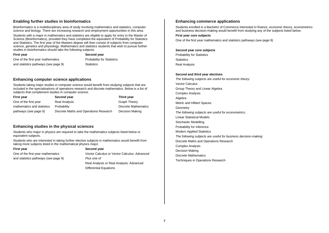# <span id="page-10-0"></span>**Enabling further studies in bioinformatics**

Bioinformatics is a multidisciplinary area of study involving mathematics and statistics, computer science and biology. There are increasing research and employment opportunities in this area.

Students with a major in mathematics and statistics are eligible to apply for entry to the Master of Science (Bioinformatics), provided they have completed the equivalent of Probability for Statistics and Statistics. The first year of the Masters degree will then consist of subjects from computer science, genetics and physiology. Mathematics and statistics students that wish to pursue further studies in bioinformatics should take the following subjects.

**First year Second year Second year** One of the first year mathematics Probability for Statistics and statistics pathways (see page 9) Statistics

# <span id="page-10-1"></span>**Enhancing computer science applications**

Students taking major studies in computer science would benefit from studying subjects that are included in the specialisations of operations research and discrete mathematics. Below is a list of subjects that complement studies in computer science.

| <b>First year</b>          | Second year                            | Third year           |
|----------------------------|----------------------------------------|----------------------|
| One of the first year      | Real Analysis                          | Graph Theory         |
| mathematics and statistics | Probability                            | Discrete Mathematics |
| pathways (see page 9)      | Discrete Maths and Operations Research | Decision Making      |

# <span id="page-10-2"></span>**Enhancing studies in the physical sciences**

Students who major in physics are required to take the mathematics subjects listed below or equivalent subjects.

Students who are interested in taking further elective subjects in mathematics would benefit from taking more subjects listed in the mathematical physics major.

and statistics pathways (see page 9) *Plus one of*

#### **First year Second year Second year**

One of the first year mathematics Vector Calculus *or* Vector Calculus: Advanced Real Analysis *or* Real Analysis: Advanced Differential Equations

# <span id="page-10-3"></span>**Enhancing commerce applications**

Students enrolled in a Bachelor of Commerce interested in finance, economic theory, econometrics and business decision-making would benefit from studying any of the subjects listed below.

#### **First year core subjects**

One of the first year mathematics and statistics pathways (see page 9)

# **Second year core subjects**

Probability for Statistics **Statistics** Real Analysis

#### **Second and third year electives**

*The following subjects are useful for economic theory:* Vector Calculus Group Theory and Linear Algebra Complex Analysis Algebra Metric and Hilbert Spaces **Geometry** *The following subjects are useful for econometrics:* Linear Statistical Models Stochastic Modelling Probability for Inference Modern Applied Statistics *The following subjects are useful for business decision-making:* Discrete Maths and Operations Research Complex Analysis Decision Making Discrete Mathematics Techniques in Operations Research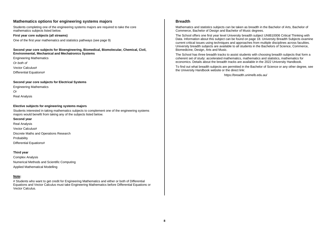# <span id="page-11-0"></span>**Mathematics options for engineering systems majors**

Students completing one of the engineering systems majors are required to take the core mathematics subjects listed below.

#### **First year core subjects (all streams)**

One of the first year mathematics and statistics pathways (see page 9)

#### **Second year core subjects for Bioengineering, Biomedical, Biomolecular, Chemical, Civil, Environmental, Mechanical and Mechatronics Systems**

Engineering Mathematics *Or both of* Vector Calculus# Differential Equations#

#### **Second year core subjects for Electrical Systems**

Engineering Mathematics *Or* Real Analysis

#### **Elective subjects for engineering systems majors**

Students interested in taking mathematics subjects to complement one of the engineering systems majors would benefit from taking any of the subjects listed below.

#### **Second year**

Real Analysis Vector Calculus# Discrete Maths and Operations Research **Probability** Differential Equations#

#### **Third year**

Complex Analysis Numerical Methods and Scientific Computing Applied Mathematical Modelling

#### **Note:**

# Students who want to get credit for Engineering Mathematics and either or both of Differential Equations and Vector Calculus must take Engineering Mathematics before Differential Equations or Vector Calculus.

# <span id="page-11-1"></span>**Breadth**

Mathematics and statistics subjects can be taken as breadth in the Bachelor of Arts, Bachelor of Commerce, Bachelor of Design and Bachelor of Music degrees.

The School offers one first year level University breadth subject UNIB10006 Critical Thinking with Data. Information about this subject can be found on page 18. University Breadth Subjects examine current critical issues using techniques and approaches from multiple disciplines across faculties. University breadth subjects are available to all students in the Bachelors of Science, Commerce, Biomedicine, Design, Arts and Music.

The School has three breadth tracks to assist students with choosing breadth subjects that form a coherent set of study: accelerated mathematics, mathematics and statistics, mathematics for economics. Details about the breadth tracks are available in the 2022 University Handbook.

To find out what breadth subjects are permitted in the Bachelor of Science or any other degree, see the University Handbook website or the direct link:

https://breadth.unimelb.edu.au/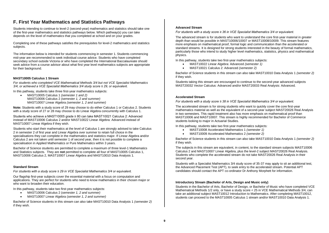# <span id="page-12-0"></span>**F. First Year Mathematics and Statistics Pathways**

Students intending to continue to level-2 (second-year) mathematics and statistics should take one of the first-year mathematics and statistics pathways below. Which pathway(s) you can take depends on the level of mathematics that you completed at school and on your grades.

Completing one of these pathways satisfies the prerequisites for level-2 mathematics and statistics subjects.

The information below is intended for students commencing in semester 1. Students commencing mid-year are recommended to seek individual course advice. Students who have completed secondary school outside Victoria or who have completed the International Baccalaureate should seek advice from a course advisor about what first year level mathematics subjects are appropriate for their background.

# **MAST10005 Calculus 1 Stream**

*For students who completed VCE Mathematical Methods 3/4 but not VCE Specialist Mathematics 3/4, or achieved a VCE Specialist Mathematics 3/4 study score ≤ 29, or equivalent.*

In this pathway, students take three first-year mathematics subjects:

• MAST10005 Calculus 1 *(semester 1 and 2)* MAST10006 Calculus 2 *(semester 1, 2 and summer)* MAST10007 Linear Algebra *(semester 1, 2 and summer)*

**Note:** Students with a study score of 29 may choose to do either Calculus 1 or Calculus 2. Students with a study score of 27 or 28 may choose to do Linear Algebra concurrently with Calculus 1.

Students who achieve a MAST10005 grade ≥ 80 can take MAST10021 Calculus 2: Advanced instead of MAST10006 Calculus 2 and/or MAST10022 Linear Algebra: Advanced instead of MAST10007 Linear Algebra if they wish.

Students who start their mathematics at the level of Calculus 1 are strongly advised to take Calculus 2 in semester 2 of first year and Linear Algebra over summer to retain full choice in the specialisations they can complete in the mathematics and statistics major. If Linear Algebra and/or Calculus 2 are not taken until semester 1 of second year, then it is not possible to complete a specialisation in Applied Mathematics or Pure Mathematics within 3 years.

Bachelor of Science students are permitted to complete a maximum of three level-1 Mathematics and Statistics subjects. They are **not** permitted to complete all four of MAST10005 Calculus 1, MAST10006 Calculus 2, MAST10007 Linear Algebra and MAST10010 Data Analysis 1.

#### **Standard Stream**

*For students with a study score ≥ 29 in VCE Specialist Mathematics 3/4 or equivalent.*

Our flagship first-year subjects cover the essential material with a focus on computation and applications. They are perfect for students who need to know mathematics in their chosen major or who want to broaden their education.

In this pathway, students take two first-year mathematics subjects:

- MAST10006 Calculus 2 (*semester 1, 2 and summer)*
- MAST10007 Linear Algebra (*semester 1, 2 and summer)*

Bachelor of Science students in this stream can also take MAST10010 Data Analysis 1 *(semester 2)* if they wish.

# **Advanced Stream**

*For students with a study score ≥ 36 in VCE Specialist Mathematics 3/4 or equivalent.*

The advanced stream is for students who want to understand the core first-year material in greater depth than would be possible in MAST10006/10007 or MAST10008/10009. This stream features more emphasis on mathematical proof, formal logic and communication than the accelerated or standard streams. It is designed for strong students interested in the beauty of formal mathematics, particularly those who intend to study higher level mathematics, statistics, physics and mathematical physics.

In this pathway, students take two first-year mathematics subjects:

- MAST10022 Linear Algebra: Advanced *(semester 1)*
- MAST10021 Calculus 2: Advanced *(semester 2)*

Bachelor of Science students in this stream can also take MAST10010 Data Analysis 1 *(semester 2)* if they wish.

Students taking this stream are encouraged to continue to the second-year advanced subjects MAST20032 Vector Calculus: Advanced and/or MAST20033 Real Analysis: Advanced.

#### **Accelerated Stream**

*For students with a study score ≥ 38 in VCE Specialist Mathematics 3/4 or equivalent.*

The accelerated stream is for strong students who want to quickly cover the core first-year mathematics material as well as the equivalent of a second-year subject MAST20026 Real Analysis in two semesters. This rapid treatment also has more emphasis on mathematical proof than MAST10006 and MAST10007. This stream is highly recommended for Bachelor of Commerce students looking to major in Actuarial Studies.

In this pathway, students take two first-year mathematics subjects:

- MAST10008 Accelerated Mathematics 1 *(semester 1)*
- MAST10009 Accelerated Mathematics 2 *(semester 2)*

Bachelor of Science students in this stream can also take MAST10010 Data Analysis 1 *(semester 2)* if they wish.

The subjects in this stream are equivalent, in content, to the standard stream subjects MAST10006 Calculus 2 and MAST10007 Linear Algebra, plus the level-2 subject MAST20026 Real Analysis. Students who complete the accelerated stream do not take MAST20026 Real Analysis in their second year.

Students with a Specialist Mathematics 3/4 study score of 35-37 may apply to sit an additional test, the Advanced Placement Test (APT), to seek entry to the accelerated stream. Potential APT candidates should contact the APT co-ordinator Dr Anthony Morphett for information.

#### **Introductory Stream (Bachelor of Arts, Design and Music only)**

Students in the Bachelor of Arts, Bachelor of Design, or Bachelor of Music who have completed VCE Mathematical Methods 1/2 only, or have a study score < 25 in VCE Mathematical Methods 3/4, can take an additional subject MAST10012 Introduction to Mathematics. After completing MAST10012, students can proceed to the MAST10005 Calculus 1 stream and/or MAST10010 Data Analysis 1.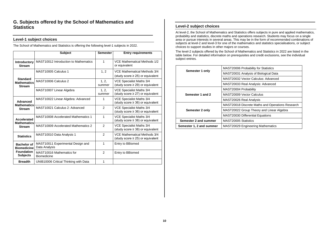# <span id="page-13-0"></span>**G. Subjects offered by the School of Mathematics and Statistics**

# <span id="page-13-1"></span>**Level-1 subject choices**

The School of Mathematics and Statistics is offering the following level-1 subjects in 2022.

|                                                        | <b>Subject</b>                                     | <b>Semester</b> | <b>Entry requirements</b>                                             |
|--------------------------------------------------------|----------------------------------------------------|-----------------|-----------------------------------------------------------------------|
| <b>Introductory</b><br><b>Stream</b>                   | MAST10012 Introduction to Mathematics              | 1               | VCE Mathematical Methods 1/2<br>or equivalent                         |
|                                                        | MAST10005 Calculus 1                               | 1, 2            | VCE Mathematical Methods 3/4<br>(study score $\geq$ 25) or equivalent |
| <b>Standard</b><br><b>Mathematics</b><br><b>Stream</b> | MAST10006 Calculus 2                               | 1, 2,<br>summer | VCE Specialist Maths 3/4<br>(study score $\geq$ 29) or equivalent     |
|                                                        | MAST10007 Linear Algebra                           | 1.2.<br>summer  | VCE Specialist Maths 3/4<br>(study score $\geq$ 27) or equivalent     |
| Advanced<br><b>Mathematics</b>                         | MAST10022 Linear Algebra: Advanced                 | 1               | VCE Specialist Maths 3/4<br>(study score $\geq$ 36) or equivalent     |
| <b>Stream</b>                                          | MAST10021 Calculus 2: Advanced                     | 2               | VCE Specialist Maths 3/4<br>(study score $\geq$ 36) or equivalent     |
| Accelerated<br><b>Mathematics</b>                      | <b>MAST10008 Accelerated Mathematics 1</b>         | 1               | VCE Specialist Maths 3/4<br>(study score $\geq$ 38) or equivalent     |
| <b>Stream</b>                                          | <b>MAST10009 Accelerated Mathematics 2</b>         | $\mathfrak{p}$  | VCE Specialist Maths 3/4<br>(study score $\geq$ 38) or equivalent     |
| <b>Statistics</b>                                      | MAST10010 Data Analysis 1                          | $\mathfrak{p}$  | VCE Mathematical Methods 3/4<br>(study score $\geq$ 25) or equivalent |
| <b>Bachelor of</b><br><b>Biomedicine</b>               | MAST10011 Experimental Design and<br>Data Analysis | 1               | Entry to BBiomed                                                      |
| <b>Foundation</b><br><b>Subjects</b>                   | MAST10016 Mathematics for<br><b>Biomedicine</b>    | $\mathfrak{p}$  | Entry to BBiomed                                                      |
| <b>Breadth</b>                                         | UNIB10006 Critical Thinking with Data              | 1               |                                                                       |

# <span id="page-13-2"></span>**Level-2 subject choices**

At level-2, the School of Mathematics and Statistics offers subjects in pure and applied mathematics, probability and statistics, discrete maths and operations research. Students may focus on a single area or pursue interests in several areas. This may be in the form of recommended combinations of subjects at level-2 and level-3 for one of the mathematics and statistics specialisations, or subject choices to support studies in other majors or courses.

The level-2 subjects offered by the School of Mathematics and Statistics in 2022 are listed in the table below. For detailed information on prerequisites and credit exclusions, see the individual subject entries.

|                          | MAST20006 Probability for Statistics             |
|--------------------------|--------------------------------------------------|
| Semester 1 only          | MAST20031 Analysis of Biological Data            |
|                          | MAST20032 Vector Calculus: Advanced              |
|                          | MAST20033 Real Analysis: Advanced                |
|                          | MAST20004 Probability                            |
| Semester 1 and 2         | MAST20009 Vector Calculus                        |
|                          | MAST20026 Real Analysis                          |
|                          | MAST20018 Discrete Maths and Operations Research |
| Semester 2 only          | MAST20022 Group Theory and Linear Algebra        |
|                          | <b>MAST20030 Differential Equations</b>          |
| Semester 2 and summer    | MAST20005 Statistics                             |
| Semester 1, 2 and summer | <b>MAST20029 Engineering Mathematics</b>         |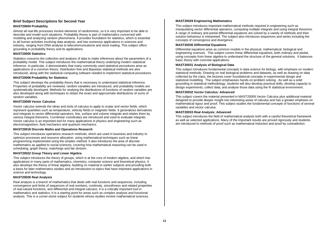# <span id="page-14-0"></span>**Brief Subject Descriptions for Second Year**

# **MAST20004 Probability**

Almost all real-life processes involve elements of randomness, so it is very important to be able to describe and model such situations. Probability theory is part of mathematics concerned with modeling and analyzing random phenomena. It provides foundation for statistics, which is essential to all human activities involving data analysis, and has numerous applications in sciences and industry, ranging from DNA analysis to telecommunications and stock trading. This subject offers grounding in probability theory and its applications.

# **MAST20005 Statistics**

Statistics concerns the collection and analysis of data to make inferences about the parameters of a probability model. This subject introduces the mathematical theory underlying modern statistical inference. In particular, it demonstrates that many commonly used statistical procedures arise as applications of a common theory. Distribution free and Bayesian statistical methods are also introduced, along with the statistical computing software needed to implement statistical procedures.

# **MAST20006 Probability for Statistics**

This subject develops the probability theory that is necessary to understand statistical inference. Properties of probability are reviewed, random variables are introduced, and probability models are systematically developed. Methods for studying the distributions of functions of random variables are also developed along with techniques to obtain the exact and approximate distributions of sums of random variables.

# **MAST20009 Vector Calculus**

Vector calculus extends the ideas and tools of calculus to apply to scalar and vector fields, which represent quantities such as temperature, velocity fields or magnetic fields. It generalizes derivatives and integrals to vector differential operators, line, surface and volume integrals and relates them by various integral theorems. Curvilinear coordinates are introduced and used to evaluate integrals. Vector calculus is an important tool for many applications in physics and engineering such as electromagnetism, fluid mechanics and quantum mechanics.

# **MAST20018 Discrete Maths and Operations Research**

This subject introduces operations research methods, which are used in business and industry to optimize processes and resource allocation, using mathematical techniques such as linear programming implemented using the simplex method. It also introduces the area of discrete mathematics as applied to social sciences, covering how mathematical reasoning can be used in scheduling, graph theory, matchings and fair division.

#### **MAST20022 Group Theory and Linear Algebra**

This subject introduces the theory of groups, which is at the core of modern algebra, and which has applications in many parts of mathematics, chemistry, computer science and theoretical physics. It also develops the theory of linear algebra, building on material in earlier subjects and providing both a basis for later mathematics studies and an introduction to topics that have important applications in science and technology.

#### **MAST20026 Real Analysis**

Real analysis is a branch of mathematics that deals with real functions and sequences, including convergence and limits of sequences of real numbers, continuity, smoothness and related properties of real-valued functions, and differential and integral calculus. It is a critically important tool in mathematics and statistics. It is a starting point for areas such as complex analysis and functional analysis. This is a corner-stone subject for students whose studies involve mathematical sciences.

# **MAST20029 Engineering Mathematics**

This subject introduces important mathematical methods required in engineering such as manipulating vector differential operators, computing multiple integrals and using integral theorems. A range of ordinary and partial differential equations are solved by a variety of methods and their solution behaviour is interpreted. The subject also introduces sequences and series including the concepts of convergence and divergence.

#### **MAST20030 Differential Equations**

Differential equations arise as common models in the physical, mathematical, biological and engineering sciences. This subject covers linear differential equations, both ordinary and partial, using concepts from linear algebra to understand the structure of the general solutions. It balances basic theory with concrete applications.

#### **MAST20031 Analysis of Biological Data**

This subject introduces fundamental concepts in data science for biology, with emphasis on modern statistical methods. Drawing on real biological problems and datasets, as well as drawing on data collected by the class, the lectures cover foundational concepts in experimental design and statistical modelling. The subject emphasises hands-on problem solving. As well as a solid grounding in statistical methodology, students will also develop practical skills, develop capacity to design experiments, collect data, and analyse those data using the R statistical environment.

#### **MAST20032 Vector Calculus: Advanced**

This subject covers the material presented in MAST20009 Vector Calculus plus additional material designed to provide deeper insight into interesting areas of calculus and has a greater emphasis on mathematical rigour and proof. This subject studies the fundamental concepts of functions of several variables and vector calculus.

#### **MAST20033 Real Analysis: Advanced**

This subject introduces the field of mathematical analysis both with a careful theoretical framework as well as selected applications. Many of the important results are proved rigorously and students are introduced to methods of proof such as mathematical induction and proof by contradiction.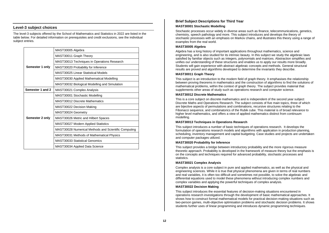# <span id="page-15-0"></span>**Level-3 subject choices**

The level-3 subjects offered by the School of Mathematics and Statistics in 2022 are listed in the table below. For detailed information on prerequisites and credit exclusions, see the individual subject entries.

|                  | MAST30005 Algebra                                    |
|------------------|------------------------------------------------------|
|                  | MAST30011 Graph Theory                               |
|                  | MAST30013 Techniques in Operations Research          |
| Semester 1 only  | MAST30020 Probability for Inference                  |
|                  | MAST30025 Linear Statistical Models                  |
|                  | MAST30030 Applied Mathematical Modelling             |
|                  | MAST30032 Biological Modelling and Simulation        |
| Semester 1 and 2 | MAST30021 Complex Analysis                           |
|                  | MAST30001 Stochastic Modelling                       |
|                  | <b>MAST30012 Discrete Mathematics</b>                |
|                  | MAST30022 Decision Making                            |
|                  | MAST30024 Geometry                                   |
| Semester 2 only  | MAST30026 Metric and Hilbert Spaces                  |
|                  | <b>MAST30027 Modern Applied Statistics</b>           |
|                  | MAST30028 Numerical Methods and Scientific Computing |
|                  | MAST30031 Methods of Mathematical Physics            |
|                  | MAST30033 Statistical Genomics                       |
|                  | MAST30034 Applied Data Science                       |

# <span id="page-15-1"></span>**Brief Subject Descriptions for Third Year**

#### **MAST30001 Stochastic Modelling**

Stochastic processes occur widely in diverse areas such as finance, telecommunications, genetics, chemistry, speech pathology and more. This subject introduces and develops the theory of stochastic processes with an emphasis on Markov chains, and illustrates this theory using a range of examples from the real world.

#### **MAST30005 Algebra**

Algebra has a long history of important applications throughout mathematics, science and engineering, and is also studied for its intrinsic beauty. In this subject we study the algebraic laws satisfied by familiar objects such as integers, polynomials and matrices. Abstraction simplifies and unifies our understanding of these structures and enables us to apply our results more broadly. Students will gain experience with abstract algebraic concepts and methods. General structural results are proved and algorithms developed to determine the invariants they describe.

#### **MAST30011 Graph Theory**

This subject is an introduction to the modern field of graph theory. It emphasises the relationship between proving theorems in mathematics and the construction of algorithms to find the solutions of mathematical problems, within the context of graph theory. The subject provides material that supplements other areas of study such as operations research and computer science.

#### **MAST30012 Discrete Mathematics**

This is a core subject on discrete mathematics and is independent of the second year subject Discrete Maths and Operations Research. The subject consists of five main topics, three of which are bijective aspects of permutations and combinations, recursive structures relating to the Fibonacci sequence, and combinatorics of the Rubik cube. This material is of broad relevance to higher level mathematics, and offers a view of applied mathematics distinct from continuum modelling.

#### **MAST30013 Techniques in Operations Research**

This subject introduces a number of basic techniques of operations research. It develops the formulation of operations research models and algorithms with application in production planning, scheduling, inventory management and capital budgeting. Case studies and projects are undertaken and computer packages utilized.

#### **MAST30020 Probability for Inference**

This subject provides a bridge between introductory probability and the more rigorous measure theoretic approach. Probability is developed in the framework of measure theory but the emphasis is on the concepts and techniques required for advanced probability, stochastic processes and statistics.

#### **MAST30021 Complex Analysis**

Complex analysis is a core subject in pure and applied mathematics, as well as the physical and engineering sciences. While it is true that physical phenomena are given in terms of real numbers and real variables, it is often too difficult and sometimes not possible, to solve the algebraic and differential equations used to model these phenomena without introducing complex numbers and complex variables and applying the powerful techniques of complex analysis.

#### **MAST30022 Decision Making**

This subject introduces the essential features of decision-making situations encountered in operations research investigations through the development of basic mathematical approaches. It shows how to construct formal mathematical models for practical decision-making situations such as two-person games, multi-objective optimisation problems and stochastic decision problems. It shows students further uses of linear programming and introduces dynamic programming techniques.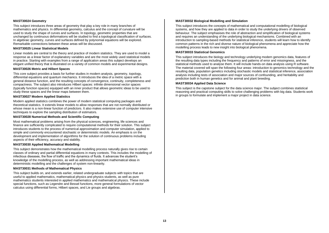#### **MAST30024 Geometry**

This subject introduces three areas of geometry that play a key role in many branches of mathematics and physics. In differential geometry, calculus and the concept of curvature will be used to study the shape of curves and surfaces. In topology, geometric properties that are unchanged by continuous deformations will be studied to find a topological classification of surfaces. In algebraic geometry, curves and surfaces defined by polynomial equations will be explored. Remarkable connections between these areas will be discussed.

#### **MAST30025 Linear Statistical Models**

Linear models are central to the theory and practice of modern statistics. They are used to model a response as a linear factor of explanatory variables and are the most widely used statistical models in practice. Starting with examples from a range of application areas this subject develops an elegant unified theory that is illustrated on a variety of common models and experimental designs.

#### **MAST30026 Metric and Hilbert Spaces**

This core subject provides a basis for further studies in modern analysis, geometry, topology, differential equations and quantum mechanics. It introduces the idea of a metric space with a general distance function, and the resulting concepts of convergence, continuity, completeness and compactness. The subject also introduces Hilbert spaces: infinite dimensional vector spaces (typically function spaces) equipped with an inner product that allows geometric ideas to be used to study these spaces and the linear maps between them.

#### **MAST30027 Modern Applied Statistics**

Modern applied statistics combines the power of modern statistical computing packages and theoretical statistics. It extends linear models to allow responses that are not normally distributed or whose mean is a non-linear function of predictors. It also makes extensive use of computer intensive techniques to explore the sampling distribution of estimators.

#### **MAST30028 Numerical Methods and Scientific Computing**

Most mathematical problems arising from the physical sciences, engineering, life sciences and finance are sufficiently complicated to require computational methods for their solution. This subject introduces students to the process of numerical approximation and computer simulation, applied to simple and commonly encountered stochastic or deterministic models. An emphasis is on the development and implementation of algorithms for the solution of continuous problems including aspects of their efficiency, accuracy and stability.

#### **MAST30030 Applied Mathematical Modelling**

This subject demonstrates how the mathematical modelling process naturally gives rise to certain classes of ordinary and partial differential equations in many contexts. This includes the modelling of infectious diseases, the flow of traffic and the dynamics of fluids. It advances the student's knowledge of the modelling process, as well as addressing important mathematical ideas in deterministic modelling and the challenges of system non-linearity.

#### **MAST30031 Methods of Mathematical Physics**

This subject builds on, and extends earlier, related undergraduate subjects with topics that are useful to applied mathematics, mathematical physics and physics students, as well as pure mathematics students interested in applied mathematics and mathematical physics. These include special functions, such as Legendre and Bessel functions, more general formulations of vector calculus using differential forms, Hilbert spaces, and Lie groups and algebras.

#### **MAST30032 Biological Modelling and Simulation**

This subject introduces the concepts of mathematical and computational modelling of biological systems, and how they are applied to data in order to study the underlying drivers of observed behaviour. The subject emphasises the role of abstraction and simplification of biological systems and requires an understanding of the underlying biological mechanisms. Combined with an introduction to sampling-based methods for statistical inference, students will learn how to identify common patterns in the rich and diverse nature of biological phenomena and appreciate how the modelling process leads to new insight into biological phenomena.

#### **MAST30033 Statistical Genomics**

This subject introduces the biology and technology underlying modern genomics data, features of the resulting data types including the frequency and patterns of error and missingness, and the statistical methods used to analyse them. It will include hands-on data analysis using R software. The material covered will span the following four areas: introduction to genomics technology and the resulting data, population genetics including stochastic models and statistical inference, association analysis including tests of association and major sources of confounding, and heritability and prediction both in human genetics and for animal and plant breeding.

#### **MAST30034 Applied Data Science**

This subject is the capstone subject for the data science major. The subject combines statistical reasoning and practical computing skills to solve challenging problems with big data. Students work in groups to formulate and implement a major project in data science.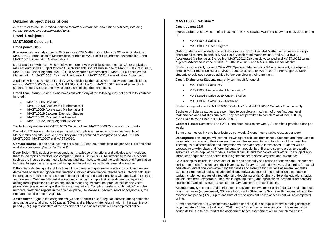# <span id="page-17-0"></span>**Detailed Subject Descriptions**

*Please refer to the University handbook for further information about these subjects, including contact persons and recommended texts.*

# <span id="page-17-1"></span>**Level-1 subjects**

# **MAST10005 Calculus 1**

# **Credit points: 12.5**

**Prerequisites:** A study score of 25 or more in VCE Mathematical Methods 3/4 or equivalent, or MAST10012 Introduction to Mathematics, or both of MAST10014 Foundation Mathematics 1 and MAST10015 Foundation Mathematics 2.

**Note:** Students with a study score of 30 or more in VCE Specialist Mathematics 3/4 or equivalent may not enrol in this subject for credit. Such students should enrol in one of MAST10006 Calculus 2, MAST10007 Linear Algebra, MAST10008 Accelerated Mathematics 1, MAST10009 Accelerated Mathematics 2, MAST10021 Calculus 2: Advanced or MAST10022 Linear Algebra: Advanced.

Students with a study score of 29 in VCE Specialist Mathematics 3/4 or equivalent, are eligible to enrol in MAST10005 Calculus 1, MAST10006 Calculus 2 or MAST10007 Linear Algebra. Such students should seek course advice before completing their enrolment.

**Credit Exclusions:** Students who have completed any of the following may not enrol in this subject for credit:

- MAST10006 Calculus 2
- MAST10008 Accelerated Mathematics 1
- MAST10009 Accelerated Mathematics 2
- MAST10019 Calculus Extension Studies
- MAST10021 Calculus 2: Advanced
- MAST10022 Linear Algebra: Advanced

Students may not enrol in MAST10005 Calculus 1 and MAST10006 Calculus 2 concurrently.

Bachelor of Science students are permitted to complete a maximum of three first year level Mathematics and Statistics subjects. They are not permitted to complete all of MAST10005, MAST10006, MAST10007 and MAST10010.

**Contact Hours:** 3 x one hour lectures per week, 1 x one hour practice class per week, 1 x one hour workshop per week. *(Semester 1 and 2)*

**Description:** This subject extends students' knowledge of functions and calculus and introduces them to the topics of vectors and complex numbers. Students will be introduced to new functions such as the inverse trigonometric functions and learn how to extend the techniques of differentiation to these. Integration techniques will be applied to solving first order differential equations.

Differential calculus: graphs of functions of one variable, trigonometric functions and their inverses, derivatives of inverse trigonometric functions, implicit differentiation, related rates. Integral calculus: integration by trigonometric and algebraic substitutions and partial fractions with application to areas and volumes. Ordinary differential equations: solution of simple first order differential equations arising from applications such as population modelling. Vectors: dot product, scalar and vector projections, plane curves specified by vector equations. Complex numbers: arithmetic of complex numbers, sketching regions in the complex plane, De Moivre's Theorem, roots of polynomials, the Fundamental Theorem of Algebra.

**Assessment:** Eight to ten assignments (written or online) due at regular intervals during semester amounting to a total of up to 50 pages (20%), and a 3-hour written examination in the examination period (80%). Up to one third of the assignment based assessment will be completed online.

# **MAST10006 Calculus 2**

# **Credit points: 12.5**

**Prerequisites:** A study score of at least 29 in VCE Specialist Mathematics 3/4, or equivalent, or one of

- MAST10005 Calculus 1
- MAST10007 Linear Algebra

**Note:** Students with a study score of 40 or more in VCE Specialist Mathematics 3/4 are strongly encouraged to enrol in both of MAST10008 Accelerated Mathematics 1 and MAST10009 Accelerated Mathematics 2 or both of MAST10021 Calculus 2: Advanced and MAST10022 Linear Algebra: Advanced instead of MAST10006 Calculus 2 and MAST10007 Linear Algebra.

Students with a study score of 29 in VCE Specialist Mathematics 3/4 or equivalent, are eligible to enrol in MAST10005 Calculus 1, MAST10006 Calculus 2 or MAST10007 Linear Algebra. Such students should seek course advice before completing their enrolment.

**Credit Exclusions:** Students may only gain credit for one of

- MAST10006 Calculus 2
- MAST10009 Accelerated Mathematics 2
- MAST10019 Calculus Extension Studies
- MAST10021 Calculus 2: Advanced

Students may not enrol in MAST10005 Calculus 1 and MAST10006 Calculus 2 concurrently.

Bachelor of Science students are permitted to complete a maximum of three first year level Mathematics and Statistics subjects. They are not permitted to complete all of MAST10005, MAST10006, MAST10007 and MAST10010.

**Contact Hours:** Semester 1 and 2: 3 x one hour lectures per week, 1 x one hour practice class per week.

Summer semester: 6 x one hour lectures per week, 2 x one hour practice classes per week

**Description:** This subject will extend knowledge of calculus from school. Students are introduced to hyperbolic functions and their inverses, the complex exponential and functions of two variables. Techniques of differentiation and integration will be extended to these cases. Students will be exposed to a wider class of differential equation models, both first and second order, to describe systems such as population models, electrical circuits and mechanical oscillators. The subject also introduces sequences and series including the concepts of convergence and divergence.

Calculus topics include: intuitive idea of limits and continuity of functions of one variable, sequences, series, hyperbolic functions and their inverses, level curves, partial derivatives, chain rules for partial derivatives, directional derivative, tangent planes and extrema for functions of several variables. Complex exponential topics include: definition, derivative, integral and applications. Integration topics include: techniques of integration and double integrals. Ordinary differential equations topics include: first order (separable, linear via integrating factor) and applications, second order constant coefficient (particular solutions, complementary functions) and applications.

**Assessment**: Semester 1 and 2: Eight to ten assignments (written or online) due at regular intervals during semester (approximately 30 hours total, worth 20%), and a 3-hour written examination in the examination period (80%). Up to one third of the assignment based assessment will be completed online.

Summer semester: 4 to 5 assignments (written or online) due at regular intervals during semester (approximately 30 hours total, worth 20%), and a 3-hour written examination in the examination period (80%). Up to one third of the assignment based assessment will be completed online.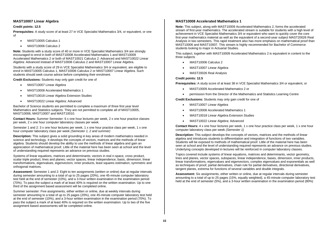# **MAST10007 Linear Algebra**

#### **Credit points: 12.5**

**Prerequisites:** A study score of at least 27 in VCE Specialist Mathematics 3/4, or equivalent, or one of

- MAST10005 Calculus 1
- MAST10006 Calculus 2

**Note:** Students with a study score of 40 or more in VCE Specialist Mathematics 3/4 are strongly encouraged to enrol in both of MAST10008 Accelerated Mathematics 1 and MAST10009 Accelerated Mathematics 2 or both of MAST10021 Calculus 2: Advanced and MAST10022 Linear Algebra: Advanced instead of MAST10006 Calculus 2 and MAST10007 Linear Algebra.

Students with a study score of 29 in VCE Specialist Mathematics 3/4 or equivalent, are eligible to enrol in MAST10005 Calculus 1, MAST10006 Calculus 2 or MAST10007 Linear Algebra. Such students should seek course advice before completing their enrolment.

**Credit Exclusions:** Students may only gain credit for one of

- MAST10007 Linear Algebra
- MAST10008 Accelerated Mathematics 1
- MAST10018 Linear Algebra Extension Studies
- MAST10022 Linear Algebra: Advanced

Bachelor of Science students are permitted to complete a maximum of three first year level Mathematics and Statistics subjects. They are not permitted to complete all of MAST10005, MAST10006, MAST10007 and MAST10010.

**Contact Hours:** Summer Semester: 6 x one hour lectures per week, 2 x one hour practice classes per week, 2 x one hour computer laboratory classes per week.

Semester 1 and 2: 3 x one hour lectures per week, 1 x one hour practice class per week, 1 x one hour computer laboratory class per week *(Semester 1, 2 and summer)*

**Description:** This subject gives a solid grounding in key areas of modern mathematics needed in science and technology. It develops the concepts of vectors, matrices and the methods of linear algebra. Students should develop the ability to use the methods of linear algebra and gain an appreciation of mathematical proof. Little of the material here has been seen at school and the level of understanding required represents an advance on previous studies.

Systems of linear equations, matrices and determinants; vectors in real n-space, cross product, scalar triple product, lines and planes; vector spaces, linear independence, basis, dimension; linear transformations, eigenvalues, eigenvectors; inner products, least squares estimation, symmetric and orthogonal matrices.

**Assessment:** Semester 1 and 2: Eight to ten assignments (written or online) due at regular intervals during semester amounting to a total of up to 25 pages (20%), one 45-minute computer laboratory test held at the end of semester (10%), and a 3-hour written examination in the examination period (70%). To pass the subject a mark of at least 40% is required on the written examination. Up to one third of the assignment based assessment will be completed online.

Summer semester: Five assignments, either written or online, due at weekly intervals during semester amounting to a total of up to 25 pages (20%), one 45-minute computer laboratory test held at the end of semester (10%), and a 3-hour written examination in the examination period (70%). To pass the subject a mark of at least 40% is required on the written examination. Up to two of the five assignment based assessments will be completed online.

# **MAST10008 Accelerated Mathematics 1**

**Note:** This subject, along with MAST10009 Accelerated Mathematics 2, forms the accelerated stream of first-year mathematics. The accelerated stream is suitable for students with a high level of achievement in VCE Specialist Mathematics 3/4 or equivalent who want to quickly cover the core first-year mathematics material as well as the equivalent of a second-year subject MAST20026 Real Analysis in two semesters. This rapid treatment also has more emphasis on mathematical proof than MAST10006 and MAST10007. This stream is highly recommended for Bachelor of Commerce students looking to major in Actuarial Studies.

This subject, together with MAST10009 Accelerated Mathematics 2 is equivalent in content to the three subjects

- MAST10006 Calculus 2
- MAST10007 Linear Algebra
- MAST20026 Real Analysis

# **Credit points: 12.5**

**Prerequisites:** A study score of at least 38 in VCE Specialist Mathematics 3/4 or equivalent, or

- MAST10009 Accelerated Mathematics 2 or
- permission from the Director of the Mathematics and Statistics Learning Centre

**Credit Exclusions:** Students may only gain credit for one of

- MAST10007 Linear Algebra
- MAST10008 Accelerated Mathematics 1
- MAST10018 Linear Algebra Extension Studies
- MAST10022 Linear Algebra: Advanced

**Contact Hours:** 4 x one hour lectures per week, 1 x one hour practice class per week, 1 x one hour computer laboratory class per week *(Semester 1)*

**Description:** This subject develops the concepts of vectors, matrices and the methods of linear algebra and introduces students to differentiation and integration of functions of two variables. Students will be exposed to methods of mathematical proof. Little of the material here has been seen at school and the level of understanding required represents an advance on previous studies. Underlying concepts developed in lectures will be reinforced in computer laboratory classes.

Topics covered include systems of linear equations, matrices and determinants, vector geometry, lines and planes, vector spaces, subspaces, linear independence, bases, dimension, inner products, linear transformations, eigenvalues and eigenvectors, complex eigenvalues and exponentials as well as techniques of proof, partial derivatives, chain rule for partial derivatives, directional derivatives, tangent planes, extrema for functions of several variables and double integrals.

**Assessment:** Six assignments, either written or online, due at regular intervals during semester amounting to a total of up to 25 pages (15%, equally weighted), a 45-minute computer laboratory test held at the end of semester (5%), and a 3-hour written examination in the examination period (80%)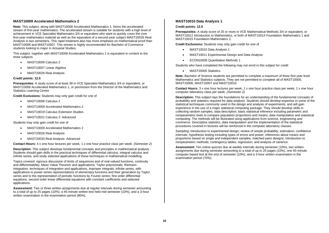# **MAST10009 Accelerated Mathematics 2**

**Note:** This subject, along with MAST10008 Accelerated Mathematics 1, forms the accelerated stream of first-year mathematics. The accelerated stream is suitable for students with a high level of achievement in VCE Specialist Mathematics 3/4 or equivalent who want to quickly cover the core first-year mathematics material as well as the equivalent of a second-year subject MAST20026 Real Analysis in two semesters. This rapid treatment also has more emphasis on mathematical proof than MAST10006 and MAST10007. This stream is highly recommended for Bachelor of Commerce students looking to major in Actuarial Studies.

This subject, together with MAST10008 Accelerated Mathematics 1 is equivalent in content to the three subjects

- MAST10006 Calculus 2
- MAST10007 Linear Algebra
- MAST20026 Real Analysis

#### **Credit points: 12.5**

**Prerequisites:** A study score of at least 38 in VCE Specialist Mathematics 3/4 or equivalent, or MAST10008 Accelerated Mathematics 1, or permission from the Director of the Mathematics and Statistics Learning Centre

**Credit Exclusions:** Students may only gain credit for one of

- MAST10006 Calculus 2
- MAST10009 Accelerated Mathematics 2
- MAST10019 Calculus Extension Studies
- MAST10021 Calculus 2: Advanced

Students may only gain credit for one of

- MAST10009 Accelerated Mathematics 2
- MAST20026 Real Analysis
- MAST20033 Real Analysis: Advanced

**Contact Hours:** 4 x one hour lectures per week, 1 x one hour practice class per week. *(Semester 2)*

**Description:** This subject develops fundamental concepts and principles in mathematical analysis. Students should gain skills in the practical techniques of differential calculus, integral calculus and infinite series, and study selected applications of these techniques in mathematical modelling.

Topics covered: rigorous discussion of limits of sequences and of real-valued functions, continuity and differentiability; Mean Value Theorem and applications; Taylor polynomials; Riemann integration, techniques of integration and applications, improper integrals; infinite series, with applications to power series representations of elementary functions and their generation by Taylor series and to the representation of periodic functions by Fourier series; first order differential equations, second order linear differential equations with constant coefficients and selected applications.

**Assessment:** Two or three written assignments due at regular intervals during semester amounting to a total of up to 25 pages (10%), a 45-minute written test held mid-semester (10%), and a 3-hour written examination in the examination period (80%).

# **MAST10010 Data Analysis 1**

#### **Credit points: 12.5**

**Prerequisites:** A study score of 25 or more in VCE Mathematical Methods 3/4 or equivalent, or MAST10012 Introduction to Mathematics, or both of MAST10014 Foundation Mathematics 1 and MAST10015 Foundation Mathematics 2.

**Credit Exclusions:** Students may only gain credit for one of

- MAST10010 Data Analysis 1
- MAST10011 Experimental Design and Data Analysis
- ECON10005 Quantitative Methods 1

Students who have completed the following may not enrol in this subject for credit

• MAST20005 Statistics

**Note:** Bachelor of Science students are permitted to complete a maximum of three first year level Mathematics and Statistics subjects. They are not permitted to complete all of MAST10005, MAST10006, MAST10007 and MAST10010.

**Contact Hours:** 3 x one hour lectures per week, 1 x one hour practice class per week, 1 x one hour computer laboratory class per week. *(Semester 2)*

**Description:** This subject lays the foundations for an understanding of the fundamental concepts of probability and statistics required for data analysis. Students should develop expertise in some of the statistical techniques commonly used in the design and analysis of experiments, and will gain experience in the use of a major statistical computing package. They should develop skills in collecting random samples, data description, basic statistical inference including parametric and nonparametric tests to compare population proportions and means, data manipulation and statistical computing. The methods will be illustrated using applications from science, engineering and commerce. Descriptive statistics, data manipulation and the implementation of the statistical procedures covered in lectures will be reinforced in the computer laboratory classes.

Sampling; introduction to experimental design; review of simple probability; estimation; confidence intervals; hypothesis testing including types of errors and power; inferences about means and proportions based on single and independent samples; matched pairs designs; introduction to nonparametric methods; contingency tables; regression; and analysis of variance.

**Assessment:** Ten online quizzes due at weekly intervals during semester (10%), two written assignments due during semester amounting to a total of up to 25 pages (10%), one 45-minute computer based test at the end of semester (10%), and a 3-hour written examination in the examination period (70%).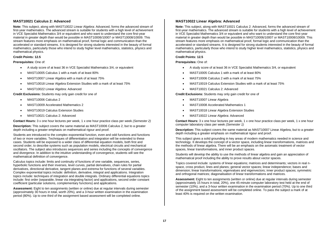# **MAST10021 Calculus 2: Advanced**

**Note:** This subject, along with MAST10022 Linear Algebra: Advanced, forms the advanced stream of first-year mathematics. The advanced stream is suitable for students with a high level of achievement in VCE Specialist Mathematics 3/4 or equivalent and who want to understand the core first-year material in greater depth than would be possible in MAST10006/10007 or MAST10008/10009. This stream features more emphasis on mathematical proof, formal logic and communication than the accelerated or standard streams. It is designed for strong students interested in the beauty of formal mathematics, particularly those who intend to study higher level mathematics, statistics, physics and mathematical physics.

#### **Credit Points: 12.5**

#### **Prerequisites:** One of:

- A study score of at least 36 in VCE Specialist Mathematics 3/4, or equivalent
- MAST10005 Calculus 1 with a mark of at least 80%
- MAST10007 Linear Algebra with a mark of at least 75%
- MAST10018 Linear Algebra Extension Studies with a mark of at least 75%
- MAST10022 Linear Algebra: Advanced

**Credit Exclusions:** Students may only gain credit for one of

- MAST10006 Calculus 2
- MAST10009 Accelerated Mathematics 2
- MAST10019 Calculus Extension Studies
- MAST10021 Calculus 2: Advanced

**Contact Hours:** 3 x one hour lectures per week, 1 x one hour practice class per week *(Semester 2)*

**Description:** This subject covers the same material as MAST10006 Calculus 2, but to a greater depth including a greater emphasis on mathematical rigour and proof.

Students are introduced to the complex exponential function, even and odd functions and functions of two or more variables. Techniques of differentiation and integration will be extended to these cases. Students will be exposed to a wider class of differential equation models, both first and second order, to describe systems such as population models, electrical circuits and mechanical oscillators. The subject also introduces sequences and series including the concepts of convergence and divergence. In addition to the intuitive understanding of convergence, students will see the mathematical definition of convergence.

Calculus topics include: limits and continuity of functions of one variable, sequences, series, hyperbolic functions and their inverses, level curves, partial derivatives, chain rules for partial derivatives, directional derivative, tangent planes and extrema for functions of several variables. Complex exponential topics include: definition, derivative, integral and applications. Integration topics include: techniques of integration and double integrals. Ordinary differential equations topics include: first order (separable, linear via integrating factor) and applications, second order constant coefficient (particular solutions, complementary functions) and applications.

**Assessment:** Eight to ten assignments (written or online) due at regular intervals during semester (approximately 30 hours in total, worth 20%), and a 3-hour written examination in the examination period (80%). Up to one third of the assignment based assessment will be completed online.

# **MAST10022 Linear Algebra: Advanced**

**Note:** This subject, along with MAST10021 Calculus 2: Advanced, forms the advanced stream of first-year mathematics. The advanced stream is suitable for students with a high level of achievement in VCE Specialist Mathematics 3/4 or equivalent and who want to understand the core first-year material in greater depth than would be possible in MAST10006/10007 or MAST10008/10009. This stream features more emphasis on mathematical proof, formal logic and communication than the accelerated or standard streams. It is designed for strong students interested in the beauty of formal mathematics, particularly those who intend to study higher level mathematics, statistics, physics and mathematical physics.

#### **Credit Points: 12.5**

**Prerequisites:** One of:

- A study score of at least 36 in VCE Specialist Mathematics 3/4, or equivalent
- MAST10005 Calculus 1 with a mark of at least 80%
- MAST10006 Calculus 2 with a mark of at least 75%
- MAST10019 Calculus Extension Studies with a mark of at least 75%
- MAST10021 Calculus 2: Advanced

**Credit Exclusions:** Students may only gain credit for one of

- MAST10007 Linear Algebra
- MAST10008 Accelerated Mathematics 1
- MAST10018 Linear Algebra Extension Studies
- MAST10022 Linear Algebra: Advanced

**Contact Hours:** 3 x one hour lectures per week, 1 x one hour practice class per week, 1 x one hour computer laboratory class per week *(Semester 1)*

**Description:** This subject covers the same material as MAST10007 Linear Algebra, but to a greater depth including a greater emphasis on mathematical rigour and proof.

This subject gives a solid grounding in key areas of modern mathematics needed in science and technology. It develops the concept of a vector space, including linear transformations, matrices and the methods of linear algebra. There will be an emphasis on the axiomatic treatment of vector spaces, linear transformations, and inner product spaces.

Students will develop the ability to use the methods of linear algebra and gain an appreciation of mathematical proof including the ability to prove results about vector spaces.

Topics covered include: systems of linear equations; matrices and determinants; vectors in real nspace, cross product, lines and planes; general vector spaces; linear independence; bases and dimension; linear transformations; eigenvalues and eigenvectors; inner product spaces; symmetric and orthogonal matrices; diagonalisation of linear transformations and matrices.

**Assessment:** Eight to ten assignments (written or online) due at regular intervals during semester (approximately 15 hours in total, 20%), one 45-minute computer laboratory test held at the end of semester (10%), and a 3-hour written examination in the examination period (70%). Up to one third of the assignment based assessment will be completed online. To pass the subject a mark of at least 40% is required on the written examination.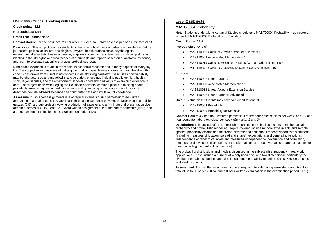# **UNIB10006 Critical Thinking with Data**

**Credit points: 12.5**

**Prerequisites:** None

# **Credit Exclusions:** None

**Contact Hours:** 3 x one hour lectures per week, 1 x one hour practice class per week. *(Semester 1)*

**Description:** This subject teaches students to become critical users of data-based evidence. Future journalists, political scientists, sociologists, lawyers, health professionals, psychologists, environmental scientists, business people, engineers, scientists and teachers will develop skills in identifying the strengths and weaknesses of arguments and reports based on quantitative evidence, and learn to evaluate reasoning that uses probabilistic ideas.

Data-based evidence is found in the media, in academic research and in many aspects of everyday life. The subject examines ways of judging the quality of quantitative information, and the strength of conclusions drawn from it, including concerns in establishing causality. It discusses how variability may be characterised and modelled in a wide variety of settings including public opinion, health, sport, legal disputes, and the environment. It covers good and bad ways of examining evidence in data. The subject deals with judging the likelihood of events, common pitfalls in thinking about probability, measuring risk in medical contexts and quantifying uncertainty in conclusions. It describes how data-based evidence can contribute to the accumulation of knowledge.

**Assessment:** Six short assignments due at regular intervals during semester: three written amounting to a total of up to 600 words and three assessed on-line (30%), 10 weekly on-line revision quizzes (5%), a group project involving production of a poster and a 4-minute oral presentation due after mid-semester (10%), one 1200 word written assignment due at the end of semester (15%), and a 2 hour written examination in the examination period (40%).

# <span id="page-21-0"></span>**Level-2 subjects**

# **MAST20004 Probability**

**Note:** Students undertaking Actuarial Studies should take MAST20004 Probability in semester 1, instead of MAST20006 Probability for Statistics.

**Credit Points: 12.5** 

**Prerequisites:** One of

- MAST10006 Calculus 2 (with a mark of at least 60)
- MAST10009 Accelerated Mathematics 2
- MAST10019 Calculus Extension Studies (with a mark of at least 60)
- MAST10021 Calculus 2: Advanced (with a mark of at least 60)

Plus one of

- MAST10007 Linear Algebra
- MAST10008 Accelerated Mathematics 1
- MAST10018 Linear Algebra Extension Studies
- MAST10022 Linear Algebra: Advanced

**Credit Exclusions:** Students may only gain credit for one of

- MAST20004 Probability
- MAST20006 Probability for Statistics

**Contact Hours:** 3 x one hour lectures per week, 1 x one hour practice class per week, and 1 x one hour computer laboratory class per week *(Semester 1 and 2)*

**Description:** This subject offers a thorough grounding in the basic concepts of mathematical probability and probabilistic modelling. Topics covered include random experiments and sample spaces, probability axioms and theorems, discrete and continuous random variables/distributions (including measures of location, spread and shape), expectations and generating functions, independence of random variables and measures of dependence (covariance and correlation), methods for deriving the distributions of transformations of random variables or approximations for them (including the central limit theorem).

The probability distributions and models discussed in the subject arise frequently in real world applications. These include a number of widely used one- and two-dimensional (particularly the bivariate normal) distributions and also fundamental probability models such as Poisson processes and Markov chains.

**Assessment:** Four written assignments due at regular intervals during semester amounting to a total of up to 50 pages (20%), and a 3-hour written examination in the examination period (80%).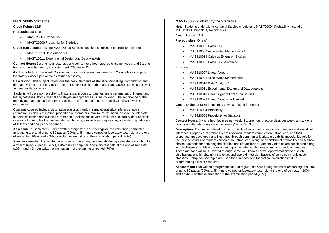# **MAST20005 Statistics**

#### **Credit Points: 12.5**

**Prerequisites:** One of

- MAST20004 Probability
- MAST20006 Probability for Statistics

**Credit Exclusions:** Passing MAST20005 Statistics precludes subsequent credit for either of

- MAST10010 Data Analysis 1
- MAST10011 Experimental Design and Data Analysis

**Contact Hours:** 3 x one hour lectures per week, 1 x one hour practice class per week, and 1 x onehour computer laboratory class per week *(Semester 2)*

6 x 1 hour lectures per week, 2 x one hour practice classes per week, and 2 x one hour computer laboratory classes per week. *(Summer semester)*

**Description:** This subject introduces the basic elements of statistical modelling, computation and data analysis. It is an entry point to further study of both mathematical and applied statistics, as well as broader data science.

Students will develop the ability to fit statistical models to data, estimate parameters of interest and test hypotheses. Both classical and Bayesian approaches will be covered. The importance of the underlying mathematical theory of statistics and the use of modern statistical software will be emphasised.

Concepts covered include: descriptive statistics, random sample, statistical inference, point estimation, interval estimation, properties of estimators, maximum likelihood, confidence intervals, hypothesis testing and Bayesian inference. Applications covered include: exploratory data analysis, inference for samples from univariate distributions, simple linear regression, correlation, goodnessof-fit tests and analysis of variance.

**Assessment:** Semester 2: Three written assignments due at regular intervals during semester amounting to a total of up to 50 pages (20%), a 45-minute computer laboratory test held at the end of semester (10%), and a 3-hour written examination in the examination period (70%).

Summer semester: Two written assignments due at regular intervals during semester amounting to a total of up to 50 pages (20%), a 45-minute computer laboratory test held at the end of semester (10%), and a 3-hour written examination in the examination period (70%).

# **MAST20006 Probability for Statistics**

**Note:** Students undertaking Actuarial Studies should take MAST20004 Probability instead of MAST20006 Probability for Statistics.

**Credit Points: 12.5** 

**Prerequisites:** One of

- MAST10006 Calculus 2
- MAST10009 Accelerated Mathematics 2
- MAST10019 Calculus Extension Studies
- MAST10021 Calculus 2: Advanced

Plus one of

- MAST10007 Linear Algebra
- MAST10008 Accelerated Mathematics 1
- MAST10010 Data Analysis 1
- MAST10011 Experimental Design and Data Analysis
- MAST10018 Linear Algebra Extension Studies
- MAST10022 Linear Algebra: Advanced

**Credit Exclusions:** Students may only gain credit for one of

- MAST20004 Probability
- MAST20006 Probability for Statistics

**Contact Hours:** 3 x one hour lectures per week, 1 x one hour practice class per week, and 1 x one hour computer laboratory class per week *(Semester 1)*

**Description:** This subject develops the probability theory that is necessary to understand statistical inference. Properties of probability are reviewed, random variables are introduced, and their properties are developed and illustrated through common univariate probability models. Models for the joint behaviour of random variables are introduced, along with conditional probability and Markov chains. Methods for obtaining the distributions of functions of random variables are considered along with techniques to obtain the exact and approximate distributions of sums of random variables. These methods will be illustrated through some well known normal approximations to discrete distributions and by obtaining the exact and approximate distributions of some commonly used statistics. Computer packages are used for numerical and theoretical calculations but no programming skills are required.

**Assessment:** Five written assignments due at regular intervals during semester amounting to a total of up to 50 pages (20%), a 45-minute computer laboratory test held at the end of semester (10%), and a 3-hour written examination in the examination period (70%).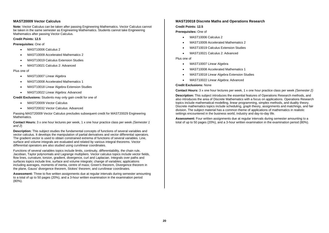# **MAST20009 Vector Calculus**

**Note:** Vector Calculus can be taken after passing Engineering Mathematics. Vector Calculus cannot be taken in the same semester as Engineering Mathematics. Students cannot take Engineering Mathematics after passing Vector Calculus.

#### **Credit Points: 12.5**

**Prerequisites:** One of

- MAST10006 Calculus 2
- MAST10009 Accelerated Mathematics 2
- MAST10019 Calculus Extension Studies
- MAST10021 Calculus 2: Advanced

# Plus one of

- MAST10007 Linear Algebra
- MAST10008 Accelerated Mathematics 1
- MAST10018 Linear Algebra Extension Studies
- MAST10022 Linear Algebra: Advanced

**Credit Exclusions:** Students may only gain credit for one of

- MAST20009 Vector Calculus
- MAST20032 Vector Calculus: Advanced

Passing MAST20009 Vector Calculus precludes subsequent credit for MAST20029 Engineering Mathematics.

**Contact Hours:** 3 x one hour lectures per week, 1 x one hour practice class per week *(Semester 1 and 2*)

**Description:** This subject studies the fundamental concepts of functions of several variables and vector calculus. It develops the manipulation of partial derivatives and vector differential operators. The gradient vector is used to obtain constrained extrema of functions of several variables. Line, surface and volume integrals are evaluated and related by various integral theorems. Vector differential operators are also studied using curvilinear coordinates.

Functions of several variables topics include limits, continuity, differentiability, the chain rule, Jacobian, Taylor polynomials and Lagrange multipliers. Vector calculus topics include vector fields, flow lines, curvature, torsion, gradient, divergence, curl and Laplacian. Integrals over paths and surfaces topics include line, surface and volume integrals; change of variables; applications including averages, moments of inertia, centre of mass; Green's theorem, Divergence theorem in the plane, Gauss' divergence theorem, Stokes' theorem; and curvilinear coordinates.

**Assessment:** Three to five written assignments due at regular intervals during semester amounting to a total of up to 50 pages (20%), and a 3-hour written examination in the examination period (80%).

# **MAST20018 Discrete Maths and Operations Research**

# **Credit Points: 12.5**

**Prerequisites:** One of

- MAST10006 Calculus 2
- MAST10009 Accelerated Mathematics 2
- MAST10019 Calculus Extension Studies
- MAST10021 Calculus 2: Advanced

Plus one of

- MAST10007 Linear Algebra
- MAST10008 Accelerated Mathematics 1
- MAST10018 Linear Algebra Extension Studies
- MAST10022 Linear Algebra: Advanced

#### **Credit Exclusions:** None

**Contact Hours:** 3 x one hour lectures per week, 1 x one hour practice class per week *(Semester 2)*

**Description:** This subject introduces the essential features of Operations Research methods, and also introduces the area of Discrete Mathematics with a focus on applications. Operations Research topics include mathematical modelling, linear programming, simplex methods, and duality theory. Discrete mathematics topics include scheduling, graph theory, assignments and matchings, and fair division. The subject material has a common theme of applications of mathematics in realistic settings encountered in the business world, industry and day-to-day life.

**Assessment:** Four written assignments due at regular intervals during semester amounting to a total of up to 50 pages (20%), and a 3-hour written examination in the examination period (80%).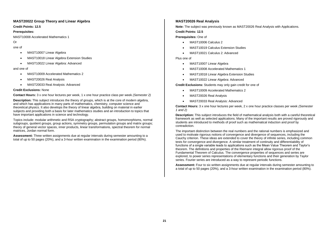# **MAST20022 Group Theory and Linear Algebra**

**Credit Points: 12.5**

#### **Prerequisites:**

MAST10008 Accelerated Mathematics 1

Or

- one of
	- MAST10007 Linear Algebra
	- MAST10018 Linear Algebra Extension Studies
	- MAST10022 Linear Algebra: Advanced

and one of

- MAST10009 Accelerated Mathematics 2
- MAST20026 Real Analysis
- MAST20033 Real Analysis: Advanced

# **Credit Exclusions:** None

**Contact Hours:** 3 x one hour lectures per week, 1 x one hour practice class per week *(Semester 2)*

**Description:** This subject introduces the theory of groups, which is at the core of modern algebra, and which has applications in many parts of mathematics, chemistry, computer science and theoretical physics. It also develops the theory of linear algebra, building on material in earlier subjects and providing both a basis for later mathematics studies and an introduction to topics that have important applications in science and technology.

Topics include: modular arithmetic and RSA cryptography; abstract groups, homomorphisms, normal subgroups, quotient groups, group actions, symmetry groups, permutation groups and matrix groups; theory of general vector spaces, inner products, linear transformations, spectral theorem for normal matrices, Jordan normal form.

**Assessment:** Three written assignments due at regular intervals during semester amounting to a total of up to 50 pages (20%), and a 3-hour written examination in the examination period (80%).

# **MAST20026 Real Analysis**

**Note:** The subject was previously known as MAST20026 Real Analysis with Applications.

# **Credit Points: 12.5**

**Prerequisites:** One of

- MAST10006 Calculus 2
- MAST10019 Calculus Extension Studies
- MAST10021 Calculus 2: Advanced

Plus one of

- MAST10007 Linear Algebra
- MAST10008 Accelerated Mathematics 1
- MAST10018 Linear Algebra Extension Studies
- MAST10022 Linear Algebra: Advanced

**Credit Exclusions:** Students may only gain credit for one of

- MAST10009 Accelerated Mathematics 2
- MAST20026 Real Analysis
- MAST20033 Real Analysis: Advanced

**Contact Hours:** 3 x one hour lectures per week, 2 x one hour practice classes per week *(Semester 1 and 2)*

**Description:** This subject introduces the field of mathematical analysis both with a careful theoretical framework as well as selected applications. Many of the important results are proved rigorously and students are introduced to methods of proof such as mathematical induction and proof by contradiction.

The important distinction between the real numbers and the rational numbers is emphasized and used to motivate rigorous notions of convergence and divergence of sequences, including the Cauchy criterion. These ideas are extended to cover the theory of infinite series, including common tests for convergence and divergence. A similar treatment of continuity and differentiability of functions of a single variable leads to applications such as the Mean Value Theorem and Taylor's theorem. The definitions and properties of the Riemann integral allow rigorous proof of the Fundamental Theorem of Calculus. The convergence properties of sequences and series are explored, to power series representations of elementary functions and their generation by Taylor series. Fourier series are introduced as a way to represent periodic functions.

**Assessment:** Four to six written assignments due at regular intervals during semester amounting to a total of up to 50 pages (20%), and a 3-hour written examination in the examination period (80%).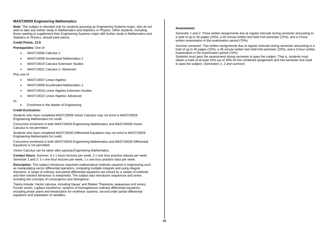# **MAST20029 Engineering Mathematics**

**Note:** This subject is intended only for students pursuing an Engineering Systems major, who do not wish to take any further study in Mathematics and Statistics or Physics. Other students, including those wanting to supplement their Engineering Systems major with further study in Mathematics and Statistics or Physics, should seek advice.

#### **Credit Points: 12.5**

**Prerequisites:** One of

- MAST10006 Calculus 2
- MAST10009 Accelerated Mathematics 2
- MAST10019 Calculus Extension Studies
- MAST10021 Calculus 2: Advanced

#### Plus one of

- MAST10007 Linear Algebra
- MAST10008 Accelerated Mathematics 1
- MAST10018 Linear Algebra Extension Studies
- MAST10022 Linear Algebra: Advanced
- Or
- Enrolment in the Master of Engineering

#### **Credit Exclusions:**

Students who have completed MAST20009 Vector Calculus may not enrol in MAST20029 Engineering Mathematics for credit.

Concurrent enrolment in both MAST20029 Engineering Mathematics and MAST20009 Vector Calculus is not permitted.

Students who have completed MAST20030 Differential Equations may not enrol in MAST20029 Engineering Mathematics for credit.

Concurrent enrolment in both MAST20029 Engineering Mathematics and MAST20030 Differential Equations is not permitted.

Vector Calculus can be taken after passing Engineering Mathematics.

**Contact Hours:** Summer: 6 x 1 hours lectures per week, 2 x one hour practice classes per week. Semester 1 and 2: 3 x one hour lectures per week, 1 x one hour practice class per week.

**Description:** This subject introduces important mathematical methods required in engineering such as manipulating vector differential operators, computing multiple integrals and using integral theorems. A range of ordinary and partial differential equations are solved by a variety of methods and their solution behaviour is interpreted. The subject also introduces sequences and series including the concepts of convergence and divergence.

Topics include: Vector calculus, including Gauss' and Stokes' Theorems; sequences and series; Fourier series, Laplace transforms; systems of homogeneous ordinary differential equations, including phase plane and linearization for nonlinear systems; second order partial differential equations and separation of variables.

#### **Assessment:**

*Semester 1 and 2:* Three written assignments due at regular intervals during semester amounting to a total of up to 40 pages (15%), a 45 minute written test held mid-semester (15%), and a 3-hour written examination in the examination period (70%).

*Summer semester:* Two written assignments due at regular intervals during semester amounting to a total of up to 40 pages (15%), a 45 minute written test held mid-semester (15%), and a 3-hour written examination in the examination period (70%).

Students must pass the assessment during semester to pass the subject. That is, students must obtain a mark of at least 15% out of 30% for the combined assignment and mid semester test mark to pass the subject. *(Semesters 1, 2 and summer)*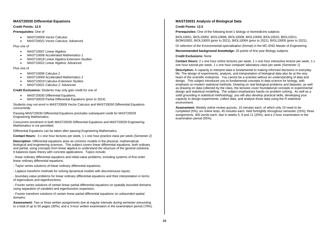# **MAST20030 Differential Equations**

#### **Credit Points: 12.5**

#### **Prerequisites:** One of

- MAST20009 Vector Calculus
- MAST20022 Vector Calculus: Advanced

#### Plus one of

- MAST10007 Linear Algebra
- MAST10008 Accelerated Mathematics 1
- MAST10018 Linear Algebra Extension Studies
- MAST10022 Linear Algebra: Advanced

#### Plus one of

- MAST10006 Calculus 2
- MAST10009 Accelerated Mathematics 2
- MAST10019 Calculus Extension Studies
- MAST10021 Calculus 2: Advanced

# **Credit Exclusions:** Students may only gain credit for one of

- MAST20030 Differential Equations.
- MAST30029 Partial Differential Equations (prior to 2014)

Students may not enrol in MAST20009 Vector Calculus and MAST20030 Differential Equations concurrently.

Passing MAST20030 Differential Equations precludes subsequent credit for MAST20029 Engineering Mathematics.

Concurrent enrolment in both MAST20030 Differential Equations and MAST20029 Engineering Mathematics is not permitted.

Differential Equations can be taken after passing Engineering Mathematics.

**Contact Hours:** 3 x one hour lectures per week, 1 x one hour practice class per week *(Semester 2)*

**Description:** Differential equations arise as common models in the physical, mathematical, biological and engineering sciences. This subject covers linear differential equations, both ordinary and partial, using concepts from linear algebra to understand the structure of the general solutions. It balances basic theory with concrete applications. Topics include:

- linear ordinary differential equations and initial-value problems, including systems of first-order linear ordinary differential equations;

- Taylor series solutions of linear ordinary differential equations;
- Laplace transform methods for solving dynamical models with discontinuous inputs;

- boundary-value problems for linear ordinary differential equations and their interpretation in terms of eigenvalues and eigenfunctions;

- Fourier series solutions of certain linear partial differential equations on spatially bounded domains using separation of variables and eigenfunction expansion;

- Fourier transform solutions of certain linear partial differential equations on unbounded spatial domains.

**Assessment:** Two or three written assignments due at regular intervals during semester amounting to a total of up to 50 pages (30%), and a 3-hour written examination in the examination period (70%).

# **MAST20031 Analysis of Biological Data**

# **Credit Points: 12.5**

**Prerequisites:** One of the following level-1 biology or biomedicine subjects:

BIOL10001, BIOL10002, BIOL10006, BIOL10008, BIOL10009, BIOL10010, BIOL10011, BIOM10002, BIOL10003 (prior to 2021), BIOL10004 (prior to 2021), BIOL10005 (prior to 2021),

Or selection of the Environmental specialisation (formal) in the MC-ENG Master of Engineering

**Recommended background knowledge:** 25 points of first year Biology subjects

#### **Credit Exclusions:** None

**Contact Hours:** 2 x one hour online lectures per week, 1 x one hour interactive lecture per week, 1 x one hour tutorial per week, 1 x one hour computer laboratory class per week *(Semester 1)*

**Description:** A capacity to interpret data is fundamental to making informed decisions in everyday life. The design of experiments, analysis, and interpretation of biological data also lie at the very heart of the scientific enterprise. You cannot be a scientist without an understanding of data and design. This subject introduces you to fundamental concepts in data science for biology, with emphasis on modern statistical methods. Drawing on real biological problems and datasets, as well as drawing on data collected by the class, the lectures cover foundational concepts in experimental design and statistical modelling. The subject emphasises hands-on problem solving. As well as a solid grounding in statistical methodology, you will also develop practical skills, developing your capacity to design experiments, collect data, and analyse those data using the R statistical environment.

**Assessment:** Weekly online review quizzes, 15 minutes each, of which only 10 need to be completed (5%); six online tests, 45 minutes each, held fortnightly throughout semester (15%); three assignments, 400 words each, due in weeks 5, 9 and 11 (25%); and a 2-hour examination in the examination period (55%).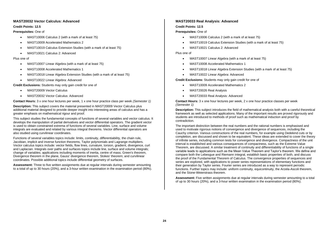# **MAST20032 Vector Calculus: Advanced**

# **Credit Points: 12.5**

# **Prerequisites:** One of

- MAST10006 Calculus 2 (with a mark of at least 75)
- MAST10009 Accelerated Mathematics 2
- MAST10019 Calculus Extension Studies (with a mark of at least 75)
- MAST10021 Calculus 2: Advanced

# Plus one of

- MAST10007 Linear Algebra (with a mark of at least 75)
- MAST10008 Accelerated Mathematics 1
- MAST10018 Linear Algebra Extension Studies (with a mark of at least 75)
- MAST10022 Linear Algebra: Advanced

**Credit Exclusions:** Students may only gain credit for one of

- MAST20009 Vector Calculus
- MAST20032 Vector Calculus: Advanced

**Contact Hours:** 3 x one hour lectures per week, 1 x one hour practice class per week *(Semester 1)*

**Description:** This subject covers the material presented in MAST20009 Vector Calculus plus additional material designed to provide deeper insight into interesting areas of calculus and has a greater emphasis on mathematical rigour and proof.

This subject studies the fundamental concepts of functions of several variables and vector calculus. It develops the manipulation of partial derivatives and vector differential operators. The gradient vector is used to obtain constrained extrema of functions of several variables. Line, surface and volume integrals are evaluated and related by various integral theorems. Vector differential operators are also studied using curvilinear coordinates.

Functions of several variables topics include: limits, continuity, differentiability, the chain rule, Jacobian, implicit and inverse function theorems, Taylor polynomials and Lagrange multipliers. Vector calculus topics include: vector fields, flow lines, curvature, torsion, gradient, divergence, curl and Laplacian. Integrals over paths and surfaces topics include line, surface and volume integrals; change of variables; applications including moments of inertia, centre of mass; Green's theorem, Divergence theorem in the plane, Gauss' divergence theorem, Stokes' theorem; and curvilinear coordinates. Possible additional topics include differential geometry of surfaces.

**Assessment:** Three to five written assignments due at regular intervals during semester amounting to a total of up to 30 hours (20%), and a 3-hour written examination in the examination period (80%).

# **MAST20033 Real Analysis: Advanced**

# **Credit Points: 12.5**

# **Prerequisites:** One of

- MAST10006 Calculus 2 (with a mark of at least 75)
- MAST10019 Calculus Extension Studies (with a mark of at least 75)
- MAST10021 Calculus 2: Advanced

# Plus one of

- MAST10007 Linear Algebra (with a mark of at least 75)
- MAST10008 Accelerated Mathematics 1
- MAST10018 Linear Algebra Extension Studies (with a mark of at least 75)
- MAST10022 Linear Algebra: Advanced

**Credit Exclusions:** Students may only gain credit for one of

- MAST10009 Accelerated Mathematics 2
- MAST20026 Real Analysis
- MAST20033 Real Analysis: Advanced

**Contact Hours:** 3 x one hour lectures per week, 2 x one hour practice classes per week *(Semester 1)*

**Description:** This subject introduces the field of mathematical analysis both with a careful theoretical framework as well as selected applications. Many of the important results are proved rigorously and students are introduced to methods of proof such as mathematical induction and proof by contradiction.

The important distinction between the real numbers and the rational numbers is emphasised and used to motivate rigorous notions of convergence and divergence of sequences, including the Cauchy criterion. Various constructions of the real numbers, for example using Dedekind cuts or by completion, are discussed and shown to be equivalent. These ideas are extended to cover the theory of infinite series, including common tests for convergence and divergence. Compactness of the unit interval is established and various consequences of compactness, such as the Extreme Value Theorem, are discussed. A similar treatment of continuity and differentiability of functions of a single variable leads to applications such as the Mean Value Theorem and Taylor's theorem. We define and compare both the Lebesgue and Riemann integral, establish basic properties of both, and discuss the proof of the Fundamental Theorem of Calculus. The convergence properties of sequences and series are explored, with applications to power series representations of elementary functions and their generation by Taylor series. Fourier series are introduced as a way to represent periodic functions. Further topics may include: uniform continuity, equicontinuity, the Arzela-Ascoli theorem, and the Stone-Weierstrass theorem.

**Assessment:** Five written assignments due at regular intervals during semester amounting to a total of up to 30 hours (20%), and a 3-hour written examination in the examination period (80%).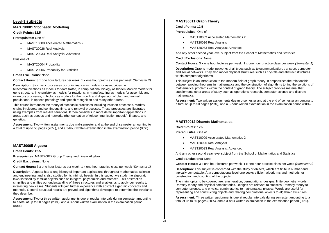# <span id="page-28-0"></span>**Level-3 subjects**

# **MAST30001 Stochastic Modelling**

# **Credit Points: 12.5**

**Prerequisites:** One of

- MAST10009 Accelerated Mathematics 2
- MAST20026 Real Analysis
- MAST20033 Real Analysis: Advanced

Plus one of

- MAST20004 Probability
- MAST20006 Probability for Statistics

# **Credit Exclusions:** None

**Contact Hours:** 3 x one hour lectures per week, 1 x one hour practice class per week *(Semester 2)*

**Description:** Stochastic processes occur in finance as models for asset prices, in telecommunications as models for data traffic, in computational biology as hidden Markov models for gene structure, in chemistry as models for reactions, in manufacturing as models for assembly and inventory processes, in biology as models for the growth and dispersion of plant and animal populations, in speech pathology and speech recognition and many other areas.

This course introduces the theory of stochastic processes including Poisson processes, Markov chains in discrete and continuous time, and renewal processes. These processes are illustrated using examples from real-life situations. It then considers in more detail important applications in areas such as queues and networks (the foundation of telecommunication models), finance, and genetics.

**Assessment:** Two written assignments due mid-semester and at the end of semester amounting to a total of up to 50 pages (20%), and a 3-hour written examination in the examination period (80%).

# **MAST30005 Algebra**

**Credit Points: 12.5** 

**Prerequisites:** MAST20022 Group Theory and Linear Algebra

# **Credit Exclusions:** None

**Contact Hours:** 3 x one hour lectures per week, 1 x one hour practice class per week *(Semester 1)*

**Description:** Algebra has a long history of important applications throughout mathematics, science and engineering, and is also studied for its intrinsic beauty. In this subject we study the algebraic laws satisfied by familiar objects such as integers, polynomials and matrices. This abstraction simplifies and unifies our understanding of these structures and enables us to apply our results to interesting new cases. Students will gain further experience with abstract algebraic concepts and methods. General structural results are proved and algorithms developed to determine the invariants they describe.

**Assessment:** Two or three written assignments due at regular intervals during semester amounting to a total of up to 50 pages (20%), and a 3-hour written examination in the examination period (80%).

# **MAST30011 Graph Theory**

# **Credit Points: 12.5**

**Prerequisites:** One of

- MAST10009 Accelerated Mathematics 2
- MAST20026 Real Analysis
- MAST20033 Real Analysis: Advanced

And any other second year level subject from the School of Mathematics and Statistics

**Credit Exclusions:** None

**Contact Hours:** 3 x one hour lectures per week, 1 x one hour practice class per week *(Semester 1)*

**Description:** Graphs model networks of all types such as telecommunication, transport, computer and social networks. They also model physical structures such as crystals and abstract structures within computer algorithms.

This subject is an introduction to the modern field of graph theory. It emphasises the relationship between proving theorems in mathematics and the construction of algorithms to find the solutions of mathematical problems within the context of graph theory. The subject provides material that supplements other areas of study such as operations research, computer science and discrete mathematics.

**Assessment:** Two written assignments due mid-semester and at the end of semester amounting to a total of up to 50 pages (20%), and a 3-hour written examination in the examination period (80%).

# **MAST30012 Discrete Mathematics**

# **Credit Points: 12.5**

**Prerequisites:** One of

- MAST10009 Accelerated Mathematics 2
- MAST20026 Real Analysis
- MAST20033 Real Analysis: Advanced

And any other second year level subject from the School of Mathematics and Statistics

# **Credit Exclusions:** None

**Contact Hours:** 3 x one hour lectures per week, 1 x one hour practice class per week *(Semester 2)*

**Description:** This subject is concerned with the study of objects, which are finite in number and typically computable. At a computational level one seeks efficient algorithms and methods for construction and counting of the objects.

The main topics to be covered are: enumeration, permutations, designs, finite geometry, words, Ramsey theory and physical combinatorics. Designs are relevant to statistics, Ramsey theory to computer science, and physical combinatorics to mathematical physics. Words are useful for representing and constructing objects and relating combinatorial objects to algebraic structures.

**Assessment:** Three written assignments due at regular intervals during semester amounting to a total of up to 50 pages (20%), and a 3-hour written examination in the examination period (80%).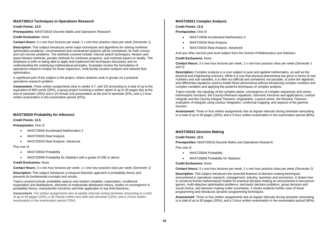# **MAST30013 Techniques in Operations Research**

#### **Credit Points: 12.5**

**Prerequisites:** MAST20018 Discrete Maths and Operations Research

#### **Credit Exclusions:** None

**Contact Hours:** 3 x one hour lectures per week, 1 x one hour practice class per week *(Semester 1)*

**Description:** This subject introduces some major techniques and algorithms for solving nonlinear optimisation problems. Unconstrained and constrained systems will be considered, for both convex and non-convex problems. The methods covered include: interval search techniques, Newton and quasi-Newton methods, penalty methods for nonlinear programs, and methods based on duality. The emphasis is both on being able to apply and implement the techniques discussed, and on understanding the underlying mathematical principles. Examples involve the formulation of operations research models for linear regression, multi-facility location analysis and network flow optimisation.

A significant part of the subject is the project, where students work in groups on a practical operations research problem.

**Assessment:** Three written assignments (due in weeks 4,7, and 10) amounting to a total of up to the equivalent of 800 words (20%), a group project involving a written report of up to 20 pages due at the end of semester (25%) and a 15-minute oral presentation at the end of semester (5%), and a 2-hour written examination in the examination period (50%).

# **MAST30020 Probability for Inference**

#### **Credit Points: 12.5**

**Prerequisites:** One of

- MAST10009 Accelerated Mathematics 2
- MAST20026 Real Analysis
- MAST20033 Real Analysis: Advanced

Plus one of

- MAST20004 Probability
- MAST20006 Probability for Statistics with a grade of H2B or above

#### **Credit Exclusions:** None

**Contact Hours:** 3 x one hour lectures per week, 1 x one hour practice class per week *(Semester 1)*

**Description:** This subject introduces a measure-theoretic approach to probability theory and presents its fundamental concepts and results.

Topics covered include: probability spaces and random variables, expectation, conditional expectation and distributions, elements of multivariate distribution theory, modes of convergence in probability theory, characteristic functions and their application in key limit theorems.

**Assessment:** Ten written assignments due at weekly intervals during semester amounting to a total of up to 40 pages (15%), a 45-minute written test held mid-semester (15%), and a 3-hour written examination in the examination period (70%).

# **MAST30021 Complex Analysis**

#### **Credit Points: 12.5**

**Prerequisites:** One of

- MAST10009 Accelerated Mathematics 2
- MAST20026 Real Analysis
- MAST20033 Real Analysis: Advanced

And any other second year level subject from the School of Mathematics and Statistics.

#### **Credit Exclusions:** None

**Contact Hours:** 3 x one hour lectures per week, 1 x one hour practice class per week *(Semester 1 and 2)*

**Description:** Complex analysis is a core subject in pure and applied mathematics, as well as the physical and engineering sciences. While it is true that physical phenomena are given in terms of real numbers and real variables, it is often too difficult and sometimes not possible, to solve the algebraic and differential equations used to model these phenomena without introducing complex numbers and complex variables and applying the powerful techniques of complex analysis.

Topics include: the topology of the complex plane; convergence of complex sequences and series; holomorphic functions, the Cauchy-Riemann equations, harmonic functions and applications; contour integrals and the Cauchy Integral Theorem; singularities, Laurent series, the Residue Theorem, evaluation of integrals using contour integration, conformal mapping; and aspects of the gamma function.

**Assessment:** Three or four written assignments due at regular intervals during semester amounting to a total of up to 50 pages (20%), and a 3-hour written examination in the examination period (80%).

#### **MAST30022 Decision Making**

#### **Credit Points: 12.5**

**Prerequisites:** MAST20018 Discrete Maths and Operations Research

Plus one of

- MAST20004 Probability
- MAST20006 Probability for Statistics

# **Credit Exclusions:** None

**Contact Hours:** 3 x one hour lectures per week, 1 x one hour practice class per week *(Semester 2)*

**Description:** This subject introduces the essential features of decision-making techniques encountered in operations research, management, industry, business and economics. It shows how to construct formal mathematical models for practical decision-making as encountered in two-person games, multi-objective optimisation problems, stochastic decision problems, group decision and social choice, and decision-making under uncertainty. It shows students further uses of linear programming and introduces dynamic programming techniques.

**Assessment:** Three or four written assignments due at regular intervals during semester amounting to a total of up to 50 pages (20%), and a 3-hour written examination in the examination period (80%).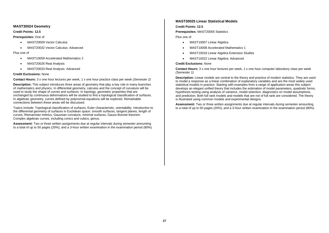# **MAST30024 Geometry**

# **Credit Points: 12.5**

# **Prerequisites:** One of

- MAST20009 Vector Calculus
- MAST20032 Vector Calculus: Advanced

# Plus one of

- MAST10009 Accelerated Mathematics 2
- MAST20026 Real Analysis
- MAST20033 Real Analysis: Advanced

# **Credit Exclusions:** None

**Contact Hours:** 3 x one hour lectures per week, 1 x one hour practice class per week *(Semester 2)*

**Description:** This subject introduces three areas of geometry that play a key role in many branches of mathematics and physics. In differential geometry, calculus and the concept of curvature will be used to study the shape of curves and surfaces. In topology, geometric properties that are unchanged by continuous deformations will be studied to find a topological classification of surfaces. In algebraic geometry, curves defined by polynomial equations will be explored. Remarkable connections between these areas will be discussed.

Topics include: Topological classification of surfaces, Euler characteristic, orientability. Introduction to the differential geometry of surfaces in Euclidean space: smooth surfaces, tangent planes, length of curves, Riemannian metrics, Gaussian curvature, minimal surfaces, Gauss-Bonnet theorem. Complex algebraic curves, including conics and cubics, genus.

**Assessment:** Two or three written assignments due at regular intervals during semester amounting to a total of up to 50 pages (20%), and a 3-hour written examination in the examination period (80%).

# **MAST30025 Linear Statistical Models**

# **Credit Points: 12.5**

**Prerequisites:** MAST20005 Statistics

Plus one of

- MAST10007 Linear Algebra
- MAST10008 Accelerated Mathematics 1
- MAST10018 Linear Algebra Extension Studies
- MAST10022 Linear Algebra: Advanced

# **Credit Exclusions:** None

**Contact Hours:** 3 x one hour lectures per week, 1 x one hour computer laboratory class per week *(Semester 1)*

**Description:** Linear models are central to the theory and practice of modern statistics. They are used to model a response as a linear combination of explanatory variables and are the most widely used statistical models in practice. Starting with examples from a range of application areas this subject develops an elegant unified theory that includes the estimation of model parameters, quadratic forms, hypothesis testing using analysis of variance, model selection, diagnostics on model assumptions, and prediction. Both full rank models and models that are not of full rank are considered. The theory is illustrated using common models and experimental designs.

**Assessment:** Two or three written assignments due at regular intervals during semester amounting to a total of up to 50 pages (20%), and a 3-hour written examination in the examination period (80%).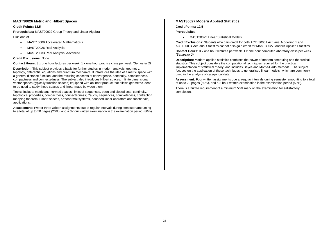# **MAST30026 Metric and Hilbert Spaces**

#### **Credit Points: 12.5**

**Prerequisites:** MAST20022 Group Theory and Linear Algebra

# Plus one of

- MAST10009 Accelerated Mathematics 2
- MAST20026 Real Analysis
- MAST20033 Real Analysis: Advanced

# **Credit Exclusions:** None

**Contact Hours:** 3 x one hour lectures per week, 1 x one hour practice class per week *(Semester 2)*

**Description:** This subject provides a basis for further studies in modern analysis, geometry, topology, differential equations and quantum mechanics. It introduces the idea of a metric space with a general distance function, and the resulting concepts of convergence, continuity, completeness, compactness and connectedness. The subject also introduces Hilbert spaces: infinite dimensional vector spaces (typically function spaces) equipped with an inner product that allows geometric ideas to be used to study these spaces and linear maps between them.

Topics include: metric and normed spaces, limits of sequences, open and closed sets, continuity, topological properties, compactness, connectedness; Cauchy sequences, completeness, contraction mapping theorem; Hilbert spaces, orthonormal systems, bounded linear operators and functionals, applications.

**Assessment:** Two or three written assignments due at regular intervals during semester amounting to a total of up to 50 pages (20%), and a 3-hour written examination in the examination period (80%).

# **MAST30027 Modern Applied Statistics**

# **Credit Points: 12.5**

# **Prerequisites:**

• MAST30025 Linear Statistical Models

**Credit Exclusions:** Students who gain credit for both ACTL30001 Actuarial Modelling 1 and ACTL30004 Actuarial Statistics cannot also gain credit for MAST30027 Modern Applied Statistics.

**Contact Hours:** 3 x one hour lectures per week, 1 x one hour computer laboratory class per week *(Semester 2)*

**Description:** Modern applied statistics combines the power of modern computing and theoretical statistics. This subject considers the computational techniques required for the practical implementation of statistical theory, and includes Bayes and Monte-Carlo methods. The subject focuses on the application of these techniques to generalised linear models, which are commonly used in the analysis of categorical data

**Assessment:** Four written assignments due at regular intervals during semester amounting to a total of up to 70 pages (50%), and a 2-hour written examination in the examination period (50%).

There is a hurdle requirement of a minimum 50% mark on the examination for satisfactory completion.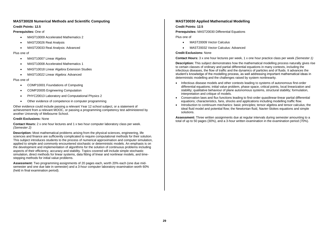# **MAST30028 Numerical Methods and Scientific Computing**

# **Credit Points: 12.5**

# **Prerequisites:** One of

- MAST10009 Accelerated Mathematics 2
- MAST20026 Real Analysis
- MAST20033 Real Analysis: Advanced

# Plus one of

- MAST10007 Linear Algebra
- MAST10008 Accelerated Mathematics 1
- MAST10018 Linear Algebra Extension Studies
- MAST10022 Linear Algebra: Advanced

# Plus one of

- COMP10001 Foundations of Computing
- COMP20005 Engineering Computation
- PHYC20013 Laboratory and Computational Physics 2
- Other evidence of competence in computer programming

Other evidence could include passing a relevant Year 12 school subject, or a statement of achievement from a relevant MOOC, or passing a programming competency test administered by another University of Melbourne School.

# **Credit Exclusions:** None

**Contact Hours:** 2 x one hour lectures and 1 x two hour computer laboratory class per week. *(Semester 2)*

**Description:** Most mathematical problems arising from the physical sciences, engineering, life sciences and finance are sufficiently complicated to require computational methods for their solution. This subject introduces students to the process of numerical approximation and computer simulation, applied to simple and commonly encountered stochastic or deterministic models. An emphasis is on the development and implementation of algorithms for the solution of continuous problems including aspects of their efficiency, accuracy and stability. Topics covered will include simple stochastic simulation, direct methods for linear systems, data fitting of linear and nonlinear models, and timestepping methods for initial value problems.

**Assessment:** Two programming assignments of 20 pages each, worth 20% each (one due midsemester and one due late in semester) and a 3-hour computer laboratory examination worth 60% (held in final examination period).

# **MAST30030 Applied Mathematical Modelling**

# **Credit Points: 12.5**

**Prerequisites:** MAST20030 Differential Equations

Plus one of

- MAST20009 Vector Calculus
- MAST20032 Vector Calculus: Advanced

# **Credit Exclusions:** None

**Contact Hours:** 3 x one hour lectures per week, 1 x one hour practice class per week *(Semester 1)*

**Description:** This subject demonstrates how the mathematical modelling process naturally gives rise to certain classes of ordinary and partial differential equations in many contexts, including the infectious diseases, the flow of traffic and the dynamics of particles and of fluids. It advances the student's knowledge of the modelling process, as well addressing important mathematical ideas in deterministic modelling and the challenges raised by system nonlinearity.

- Infectious disease models and other contexts leading to systems of autonomous first-order differential equations; initial value problem, phase space, critical points, local linearization and stability; qualitative behaviour of plane autonomous systems, structural stability; formulation, interpretation and critique of models.
- Conservation laws and flux functions leading to first-order quasilinear-linear partial differential equations; characteristics, fans, shocks and applications including modelling traffic flow.
- Introduction to continuum mechanics: basic principles; tensor algebra and tensor calculus; the ideal fluid model and potential flow; the Newtonian fluid, Navier-Stokes equations and simple solutions.

**Assessment:** Three written assignments due at regular intervals during semester amounting to a total of up to 50 pages (30%), and a 3-hour written examination in the examination period (70%).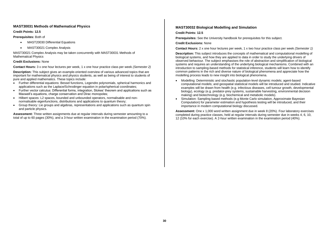# **MAST30031 Methods of Mathematical Physics**

#### **Credit Points: 12.5**

# **Prerequisites:** Both of

- MAST20030 Differential Equations
- MAST30021 Complex Analysis

MAST30021 Complex Analysis may be taken concurrently with MAST30031 Methods of Mathematical Physics

# **Credit Exclusions:** None

**Contact Hours:** 3 x one hour lectures per week, 1 x one hour practice class per week *(Semester 2)*

**Description:** This subject gives an example-oriented overview of various advanced topics that are important for mathematical physics and physics students, as well as being of interest to students of pure and applied mathematics. These topics include:

- Further differential equations: Bessel functions, Legendre polynomials, spherical harmonics and applications such as the Laplace/Schrodinger equation in polar/spherical coordinates;
- Further vector calculus: Differential forms, integration, Stokes' theorem and applications such as Maxwell's equations, charge conservation and Dirac monopoles;
- Hilbert spaces: L2 spaces, bounded and unbounded operators, normalisable and nonnormalisable eigenfunctions, distributions and applications to quantum theory;
- Group theory: Lie groups and algebras, representations and applications such as quantum spin and particle physics.

**Assessment:** Three written assignments due at regular intervals during semester amounting to a total of up to 60 pages (30%), and a 3-hour written examination in the examination period (70%).

# **MAST30032 Biological Modelling and Simulation**

#### **Credit Points: 12.5**

**Prerequisites:** See the University handbook for prerequisites for this subject.

#### **Credit Exclusions:** None

**Contact Hours:** 2 x one hour lectures per week, 1 x two hour practice class per week *(Semester 1)*

**Description:** This subject introduces the concepts of mathematical and computational modelling of biological systems, and how they are applied to data in order to study the underlying drivers of observed behaviour. The subject emphasises the role of abstraction and simplification of biological systems and requires an understanding of the underlying biological mechanisms. Combined with an introduction to sampling-based methods for statistical inference, students will learn how to identify common patterns in the rich and diverse nature of biological phenomena and appreciate how the modelling process leads to new insight into biological phenomena.

- Modelling: Deterministic and stochastic population-level dynamic models; agent-based computational models; and geospatial statistical models will be introduced and studied. Indicative examples will be drawn from health (e.g. infectious diseases, cell tumour growth, developmental biology), ecology (e.g. predator-prey systems, sustainable harvesting, environmental decision making) and biotechnology (e.g. biochemical and metabolic models).
- Simulation: Sampling based methods (e.g Monte Carlo simulation, Approximate Bayesian Computation) for parameter estimation and hypothesis testing will be introduced, and their importance in modern computational biology discussed.

**Assessment:** One x 1,000 word written assignment due in week 8 (20%). Four laboratory exercises completed during practice classes, held at regular intervals during semester due in weeks 4, 6, 10, 12 (10% for each exercise). A 2-hour written examination in the examination period (40%).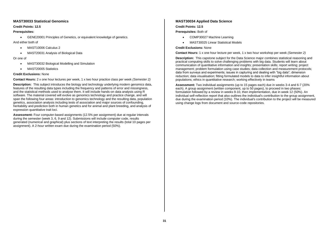# **MAST30033 Statistical Genomics**

# **Credit Points: 12.5**

# **Prerequisites:**

• GENE20001 Principles of Genetics, or equivalent knowledge of genetics.

And either both of

- MAST10006 Calculus 2
- MAST20031 Analysis of Biological Data

# Or one of

- MAST30032 Biological Modelling and Simulation
- MAST20005 Statistics

# **Credit Exclusions:** None

**Contact Hours:** 2 x one hour lectures per week, 1 x two hour practice class per week *(Semester 2)*

**Description:** This subject introduces the biology and technology underlying modern genomics data, features of the resulting data types including the frequency and patterns of error and missingness, and the statistical methods used to analyse them. It will include hands-on data analysis using R software. The material covered will evolve as genomics technology and practice change, and will span the following four areas: introduction to genomics technology and the resulting data, population genetics, association analysis including tests of association and major sources of confounding, heritability and prediction both in human genetics and for animal and plant breeding, and analysis of expression quantitative trait loci.

**Assessment:** Four computer-based assignments (12.5% per assignment) due at regular intervals during the semester (week 3, 6, 9 and 12). Submissions will include computer code, results generated (numerical and graphical) plus sections of text interpreting the results (total 10 pages per assignment). A 2-hour written exam due during the examination period (50%).

# **MAST30034 Applied Data Science**

# **Credit Points: 12.5**

**Prerequisites:** Both of

- COMP30027 Machine Learning
- MAST30025 Linear Statistical Models

# **Credit Exclusions:** None

**Contact Hours:** 1 x one hour lecture per week, 1 x two hour workshop per week *(Semester 2)*

**Description:** This capstone subject for the Data Science major combines statistical reasoning and practical computing skills to solve challenging problems with big data. Students will learn about communication of quantitative information and insights; presentation skills; report writing; project management; problem formulation using case studies; data collection and measurement protocols; data from surveys and experiments; issues in capturing and dealing with "big data"; dimension reduction; data visualisation; fitting formulated models to data to infer insightful information about populations; ethics in quantitative research; working effectively in teams

**Assessment:** Two individual assignments (up to 15 pages each) due in weeks 3-4 and 6-7 (20% each). A group assignment (written component, up to 50 pages), to proceed in two phases: formulation followed by a review in weeks 9-10, then implementation, due in week 12 (50%). An individual self-reflection report that also outlines the individual's contribution to the group assignment, due during the examination period (10%). The individual's contribution to the project will be measured using change logs from document and source-code repositories.